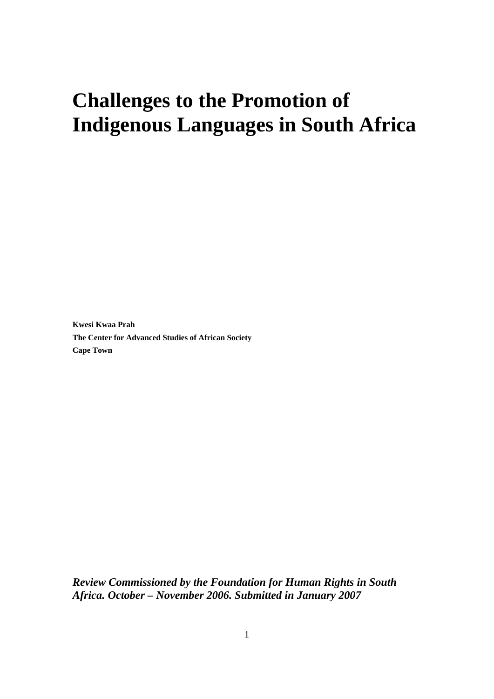# **Challenges to the Promotion of Indigenous Languages in South Africa**

**Kwesi Kwaa Prah The Center for Advanced Studies of African Society Cape Town**

*Review Commissioned by the Foundation for Human Rights in South Africa. October – November 2006. Submitted in January 2007*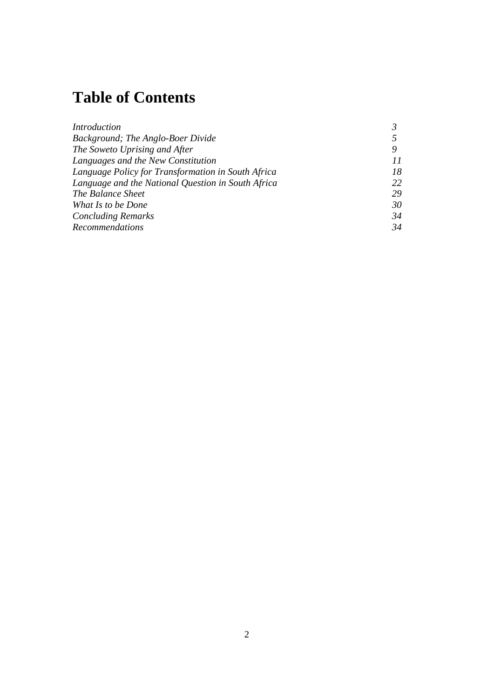# **Table of Contents**

| <i>Introduction</i>                                |    |
|----------------------------------------------------|----|
| Background; The Anglo-Boer Divide                  |    |
| The Soweto Uprising and After                      | 9  |
| Languages and the New Constitution                 | 11 |
| Language Policy for Transformation in South Africa | 18 |
| Language and the National Question in South Africa | 22 |
| The Balance Sheet                                  | 29 |
| What Is to be Done                                 | 30 |
| <b>Concluding Remarks</b>                          | 34 |
| <b>Recommendations</b>                             | 34 |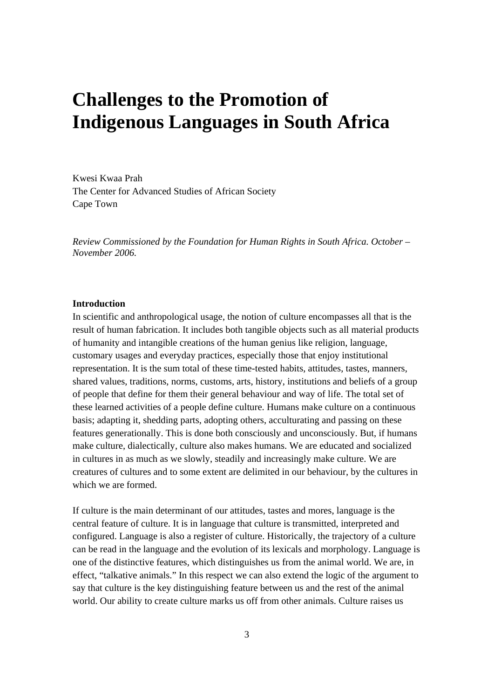# **Challenges to the Promotion of Indigenous Languages in South Africa**

Kwesi Kwaa Prah The Center for Advanced Studies of African Society Cape Town

*Review Commissioned by the Foundation for Human Rights in South Africa. October – November 2006.* 

#### **Introduction**

In scientific and anthropological usage, the notion of culture encompasses all that is the result of human fabrication. It includes both tangible objects such as all material products of humanity and intangible creations of the human genius like religion, language, customary usages and everyday practices, especially those that enjoy institutional representation. It is the sum total of these time-tested habits, attitudes, tastes, manners, shared values, traditions, norms, customs, arts, history, institutions and beliefs of a group of people that define for them their general behaviour and way of life. The total set of these learned activities of a people define culture. Humans make culture on a continuous basis; adapting it, shedding parts, adopting others, acculturating and passing on these features generationally. This is done both consciously and unconsciously. But, if humans make culture, dialectically, culture also makes humans. We are educated and socialized in cultures in as much as we slowly, steadily and increasingly make culture. We are creatures of cultures and to some extent are delimited in our behaviour, by the cultures in which we are formed.

If culture is the main determinant of our attitudes, tastes and mores, language is the central feature of culture. It is in language that culture is transmitted, interpreted and configured. Language is also a register of culture. Historically, the trajectory of a culture can be read in the language and the evolution of its lexicals and morphology. Language is one of the distinctive features, which distinguishes us from the animal world. We are, in effect, "talkative animals." In this respect we can also extend the logic of the argument to say that culture is the key distinguishing feature between us and the rest of the animal world. Our ability to create culture marks us off from other animals. Culture raises us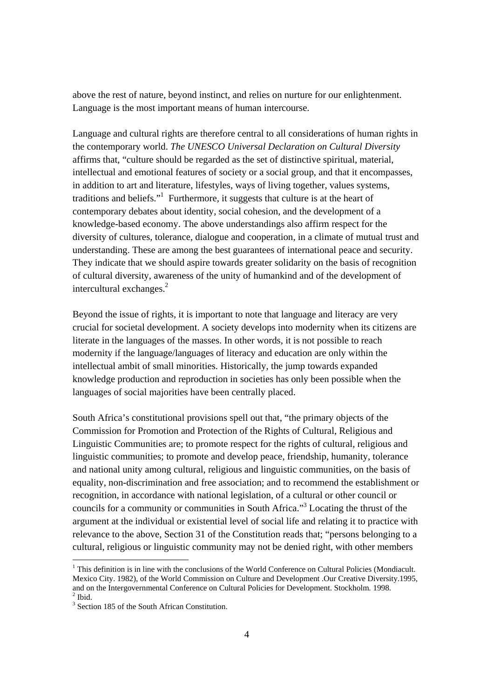above the rest of nature, beyond instinct, and relies on nurture for our enlightenment. Language is the most important means of human intercourse.

Language and cultural rights are therefore central to all considerations of human rights in the contemporary world. *The UNESCO Universal Declaration on Cultural Diversity* affirms that, "culture should be regarded as the set of distinctive spiritual, material, intellectual and emotional features of society or a social group, and that it encompasses, in addition to art and literature, lifestyles, ways of living together, values systems, traditions and beliefs."<sup>1</sup> Furthermore, it suggests that culture is at the heart of contemporary debates about identity, social cohesion, and the development of a knowledge-based economy. The above understandings also affirm respect for the diversity of cultures, tolerance, dialogue and cooperation, in a climate of mutual trust and understanding. These are among the best guarantees of international peace and security. They indicate that we should aspire towards greater solidarity on the basis of recognition of cultural diversity, awareness of the unity of humankind and of the development of intercultural exchanges. $2$ 

Beyond the issue of rights, it is important to note that language and literacy are very crucial for societal development. A society develops into modernity when its citizens are literate in the languages of the masses. In other words, it is not possible to reach modernity if the language/languages of literacy and education are only within the intellectual ambit of small minorities. Historically, the jump towards expanded knowledge production and reproduction in societies has only been possible when the languages of social majorities have been centrally placed.

South Africa's constitutional provisions spell out that, "the primary objects of the Commission for Promotion and Protection of the Rights of Cultural, Religious and Linguistic Communities are; to promote respect for the rights of cultural, religious and linguistic communities; to promote and develop peace, friendship, humanity, tolerance and national unity among cultural, religious and linguistic communities, on the basis of equality, non-discrimination and free association; and to recommend the establishment or recognition, in accordance with national legislation, of a cultural or other council or councils for a community or communities in South Africa."<sup>3</sup> Locating the thrust of the argument at the individual or existential level of social life and relating it to practice with relevance to the above, Section 31 of the Constitution reads that; "persons belonging to a cultural, religious or linguistic community may not be denied right, with other members

 $\overline{a}$ 

<sup>&</sup>lt;sup>1</sup> This definition is in line with the conclusions of the World Conference on Cultural Policies (Mondiacult. Mexico City. 1982), of the World Commission on Culture and Development .Our Creative Diversity.1995, and on the Intergovernmental Conference on Cultural Policies for Development. Stockholm. 1998. 2 Ibid.

<sup>&</sup>lt;sup>3</sup> Section 185 of the South African Constitution.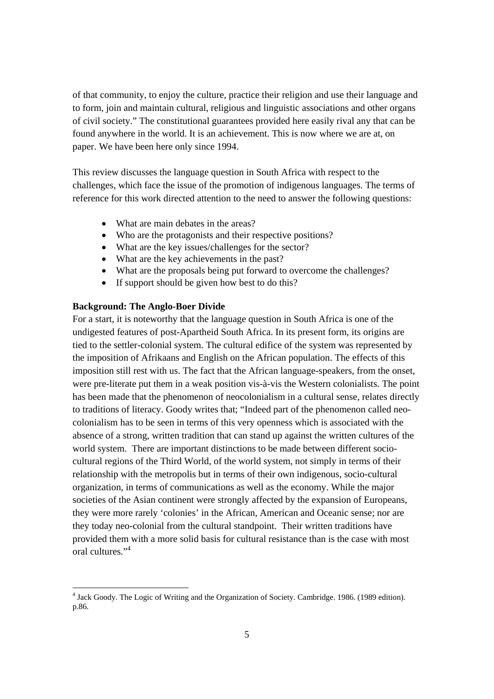of that community, to enjoy the culture, practice their religion and use their language and to form, join and maintain cultural, religious and linguistic associations and other organs of civil society." The constitutional guarantees provided here easily rival any that can be found anywhere in the world. It is an achievement. This is now where we are at, on paper. We have been here only since 1994.

This review discusses the language question in South Africa with respect to the challenges, which face the issue of the promotion of indigenous languages. The terms of reference for this work directed attention to the need to answer the following questions:

- What are main debates in the areas?
- Who are the protagonists and their respective positions?
- What are the key issues/challenges for the sector?
- What are the key achievements in the past?
- What are the proposals being put forward to overcome the challenges?
- If support should be given how best to do this?

# **Background: The Anglo-Boer Divide**

For a start, it is noteworthy that the language question in South Africa is one of the undigested features of post-Apartheid South Africa. In its present form, its origins are tied to the settler-colonial system. The cultural edifice of the system was represented by the imposition of Afrikaans and English on the African population. The effects of this imposition still rest with us. The fact that the African language-speakers, from the onset, were pre-literate put them in a weak position vis-à-vis the Western colonialists. The point has been made that the phenomenon of neocolonialism in a cultural sense, relates directly to traditions of literacy. Goody writes that; "Indeed part of the phenomenon called neocolonialism has to be seen in terms of this very openness which is associated with the absence of a strong, written tradition that can stand up against the written cultures of the world system. There are important distinctions to be made between different sociocultural regions of the Third World, of the world system, not simply in terms of their relationship with the metropolis but in terms of their own indigenous, socio-cultural organization, in terms of communications as well as the economy. While the major societies of the Asian continent were strongly affected by the expansion of Europeans, they were more rarely 'colonies' in the African, American and Oceanic sense; nor are they today neo-colonial from the cultural standpoint. Their written traditions have provided them with a more solid basis for cultural resistance than is the case with most oral cultures."<sup>4</sup>

<sup>&</sup>lt;sup>4</sup> Jack Goody. The Logic of Writing and the Organization of Society. Cambridge. 1986. (1989 edition). p.86.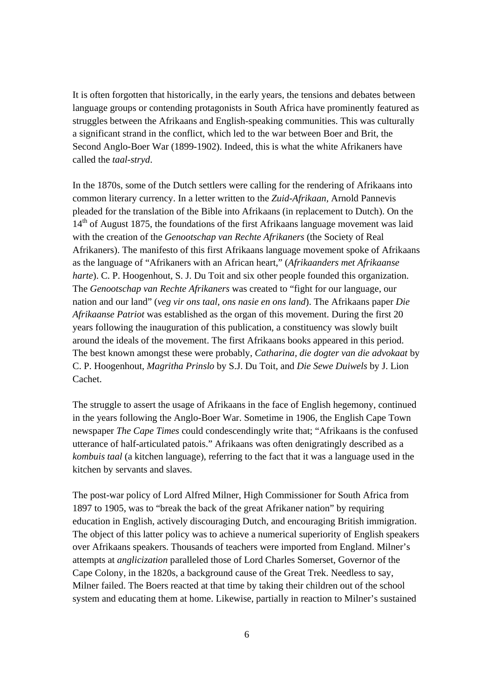It is often forgotten that historically, in the early years, the tensions and debates between language groups or contending protagonists in South Africa have prominently featured as struggles between the Afrikaans and English-speaking communities. This was culturally a significant strand in the conflict, which led to the war between Boer and Brit, the Second Anglo-Boer War (1899-1902). Indeed, this is what the white Afrikaners have called the *taal-stryd*.

In the 1870s, some of the Dutch settlers were calling for the rendering of Afrikaans into common literary currency. In a letter written to the *Zuid-Afrikaan,* Arnold Pannevis pleaded for the translation of the Bible into Afrikaans (in replacement to Dutch). On the 14<sup>th</sup> of August 1875, the foundations of the first Afrikaans language movement was laid with the creation of the *Genootschap van Rechte Afrikaners* (the Society of Real Afrikaners). The manifesto of this first Afrikaans language movement spoke of Afrikaans as the language of "Afrikaners with an African heart," (*Afrikaanders met Afrikaanse harte*). C. P. Hoogenhout, S. J. Du Toit and six other people founded this organization. The *Genootschap van Rechte Afrikaners* was created to "fight for our language, our nation and our land" (*veg vir ons taal, ons nasie en ons land*). The Afrikaans paper *Die Afrikaanse Patriot* was established as the organ of this movement. During the first 20 years following the inauguration of this publication, a constituency was slowly built around the ideals of the movement. The first Afrikaans books appeared in this period. The best known amongst these were probably, *Catharina, die dogter van die advokaat* by C. P. Hoogenhout, *Magritha Prinslo* by S.J. Du Toit, and *Die Sewe Duiwels* by J. Lion Cachet.

The struggle to assert the usage of Afrikaans in the face of English hegemony, continued in the years following the Anglo-Boer War. Sometime in 1906, the English Cape Town newspaper *The Cape Times* could condescendingly write that; "Afrikaans is the confused utterance of half-articulated patois." Afrikaans was often denigratingly described as a *kombuis taal* (a kitchen language), referring to the fact that it was a language used in the kitchen by servants and slaves.

The post-war policy of Lord Alfred Milner, High Commissioner for South Africa from 1897 to 1905, was to "break the back of the great Afrikaner nation" by requiring education in English, actively discouraging Dutch, and encouraging British immigration. The object of this latter policy was to achieve a numerical superiority of English speakers over Afrikaans speakers. Thousands of teachers were imported from England. Milner's attempts at *anglicization* paralleled those of Lord Charles Somerset, Governor of the Cape Colony, in the 1820s, a background cause of the Great Trek. Needless to say, Milner failed. The Boers reacted at that time by taking their children out of the school system and educating them at home. Likewise, partially in reaction to Milner's sustained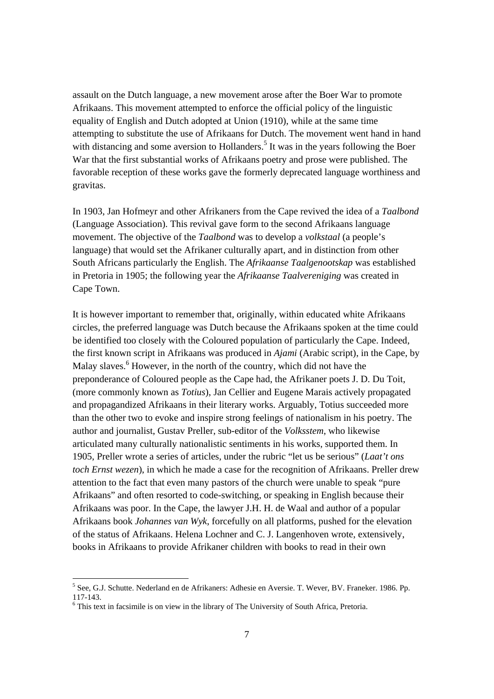assault on the Dutch language, a new movement arose after the Boer War to promote Afrikaans. This movement attempted to enforce the official policy of the linguistic equality of English and Dutch adopted at Union (1910), while at the same time attempting to substitute the use of Afrikaans for Dutch. The movement went hand in hand with distancing and some aversion to Hollanders.<sup>5</sup> It was in the years following the Boer War that the first substantial works of Afrikaans poetry and prose were published. The favorable reception of these works gave the formerly deprecated language worthiness and gravitas.

In 1903, Jan Hofmeyr and other Afrikaners from the Cape revived the idea of a *Taalbond* (Language Association). This revival gave form to the second Afrikaans language movement. The objective of the *Taalbond* was to develop a *volkstaal* (a people's language) that would set the Afrikaner culturally apart, and in distinction from other South Africans particularly the English. The *Afrikaanse Taalgenootskap* was established in Pretoria in 1905; the following year the *Afrikaanse Taalvereniging* was created in Cape Town.

It is however important to remember that, originally, within educated white Afrikaans circles, the preferred language was Dutch because the Afrikaans spoken at the time could be identified too closely with the Coloured population of particularly the Cape. Indeed, the first known script in Afrikaans was produced in *Ajami* (Arabic script), in the Cape, by Malay slaves.<sup>6</sup> However, in the north of the country, which did not have the preponderance of Coloured people as the Cape had, the Afrikaner poets J. D. Du Toit, (more commonly known as *Totius*), Jan Cellier and Eugene Marais actively propagated and propagandized Afrikaans in their literary works. Arguably, Totius succeeded more than the other two to evoke and inspire strong feelings of nationalism in his poetry. The author and journalist, Gustav Preller, sub-editor of the *Volksstem*, who likewise articulated many culturally nationalistic sentiments in his works, supported them. In 1905, Preller wrote a series of articles, under the rubric "let us be serious" (*Laat't ons toch Ernst wezen*), in which he made a case for the recognition of Afrikaans. Preller drew attention to the fact that even many pastors of the church were unable to speak "pure Afrikaans" and often resorted to code-switching, or speaking in English because their Afrikaans was poor. In the Cape, the lawyer J.H. H. de Waal and author of a popular Afrikaans book *Johannes van Wyk*, forcefully on all platforms, pushed for the elevation of the status of Afrikaans. Helena Lochner and C. J. Langenhoven wrote, extensively, books in Afrikaans to provide Afrikaner children with books to read in their own

<sup>&</sup>lt;sup>5</sup> See, G.J. Schutte. Nederland en de Afrikaners: Adhesie en Aversie. T. Wever, BV. Franeker. 1986. Pp. 117-143.

<sup>&</sup>lt;sup>6</sup> This text in facsimile is on view in the library of The University of South Africa, Pretoria.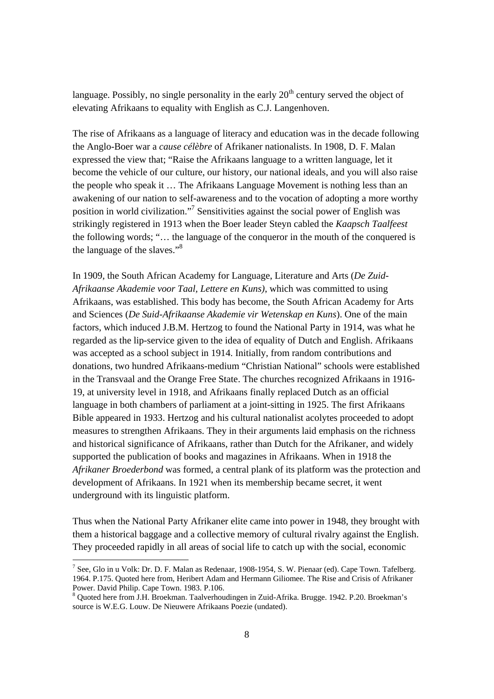language. Possibly, no single personality in the early  $20<sup>th</sup>$  century served the object of elevating Afrikaans to equality with English as C.J. Langenhoven.

The rise of Afrikaans as a language of literacy and education was in the decade following the Anglo-Boer war a *cause célèbre* of Afrikaner nationalists. In 1908, D. F. Malan expressed the view that; "Raise the Afrikaans language to a written language, let it become the vehicle of our culture, our history, our national ideals, and you will also raise the people who speak it … The Afrikaans Language Movement is nothing less than an awakening of our nation to self-awareness and to the vocation of adopting a more worthy position in world civilization."<sup>7</sup> Sensitivities against the social power of English was strikingly registered in 1913 when the Boer leader Steyn cabled the *Kaapsch Taalfeest*  the following words; "… the language of the conqueror in the mouth of the conquered is the language of the slaves."8

In 1909, the South African Academy for Language, Literature and Arts (*De Zuid-Afrikaanse Akademie voor Taal, Lettere en Kuns)*, which was committed to using Afrikaans, was established. This body has become, the South African Academy for Arts and Sciences (*De Suid-Afrikaanse Akademie vir Wetenskap en Kuns*). One of the main factors, which induced J.B.M. Hertzog to found the National Party in 1914, was what he regarded as the lip-service given to the idea of equality of Dutch and English. Afrikaans was accepted as a school subject in 1914. Initially, from random contributions and donations, two hundred Afrikaans-medium "Christian National" schools were established in the Transvaal and the Orange Free State. The churches recognized Afrikaans in 1916- 19, at university level in 1918, and Afrikaans finally replaced Dutch as an official language in both chambers of parliament at a joint-sitting in 1925. The first Afrikaans Bible appeared in 1933. Hertzog and his cultural nationalist acolytes proceeded to adopt measures to strengthen Afrikaans. They in their arguments laid emphasis on the richness and historical significance of Afrikaans, rather than Dutch for the Afrikaner, and widely supported the publication of books and magazines in Afrikaans. When in 1918 the *Afrikaner Broederbond* was formed, a central plank of its platform was the protection and development of Afrikaans. In 1921 when its membership became secret, it went underground with its linguistic platform.

Thus when the National Party Afrikaner elite came into power in 1948, they brought with them a historical baggage and a collective memory of cultural rivalry against the English. They proceeded rapidly in all areas of social life to catch up with the social, economic

 $\overline{a}$ 

<sup>&</sup>lt;sup>7</sup> See, Glo in u Volk: Dr. D. F. Malan as Redenaar, 1908-1954, S. W. Pienaar (ed). Cape Town. Tafelberg. 1964. P.175. Quoted here from, Heribert Adam and Hermann Giliomee. The Rise and Crisis of Afrikaner Power. David Philip. Cape Town. 1983. P.106.

<sup>&</sup>lt;sup>8</sup> Quoted here from J.H. Broekman. Taalverhoudingen in Zuid-Afrika. Brugge. 1942. P.20. Broekman's source is W.E.G. Louw. De Nieuwere Afrikaans Poezie (undated).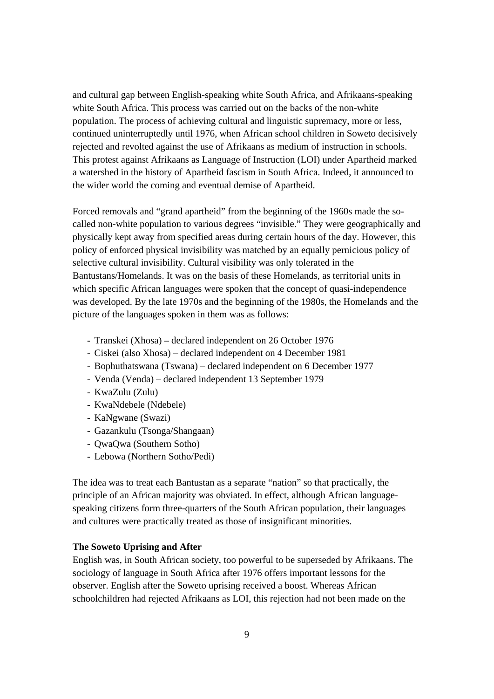and cultural gap between English-speaking white South Africa, and Afrikaans-speaking white South Africa. This process was carried out on the backs of the non-white population. The process of achieving cultural and linguistic supremacy, more or less, continued uninterruptedly until 1976, when African school children in Soweto decisively rejected and revolted against the use of Afrikaans as medium of instruction in schools. This protest against Afrikaans as Language of Instruction (LOI) under Apartheid marked a watershed in the history of Apartheid fascism in South Africa. Indeed, it announced to the wider world the coming and eventual demise of Apartheid.

Forced removals and "grand apartheid" from the beginning of the 1960s made the socalled non-white population to various degrees "invisible." They were geographically and physically kept away from specified areas during certain hours of the day. However, this policy of enforced physical invisibility was matched by an equally pernicious policy of selective cultural invisibility. Cultural visibility was only tolerated in the Bantustans/Homelands. It was on the basis of these Homelands, as territorial units in which specific African languages were spoken that the concept of quasi-independence was developed. By the late 1970s and the beginning of the 1980s, the Homelands and the picture of the languages spoken in them was as follows:

- Transkei (Xhosa) declared independent on 26 October 1976
- Ciskei (also Xhosa) declared independent on 4 December 1981
- Bophuthatswana (Tswana) declared independent on 6 December 1977
- Venda (Venda) declared independent 13 September 1979
- KwaZulu (Zulu)
- KwaNdebele (Ndebele)
- KaNgwane (Swazi)
- Gazankulu (Tsonga/Shangaan)
- QwaQwa (Southern Sotho)
- Lebowa (Northern Sotho/Pedi)

The idea was to treat each Bantustan as a separate "nation" so that practically, the principle of an African majority was obviated. In effect, although African languagespeaking citizens form three-quarters of the South African population, their languages and cultures were practically treated as those of insignificant minorities.

#### **The Soweto Uprising and After**

English was, in South African society, too powerful to be superseded by Afrikaans. The sociology of language in South Africa after 1976 offers important lessons for the observer. English after the Soweto uprising received a boost. Whereas African schoolchildren had rejected Afrikaans as LOI, this rejection had not been made on the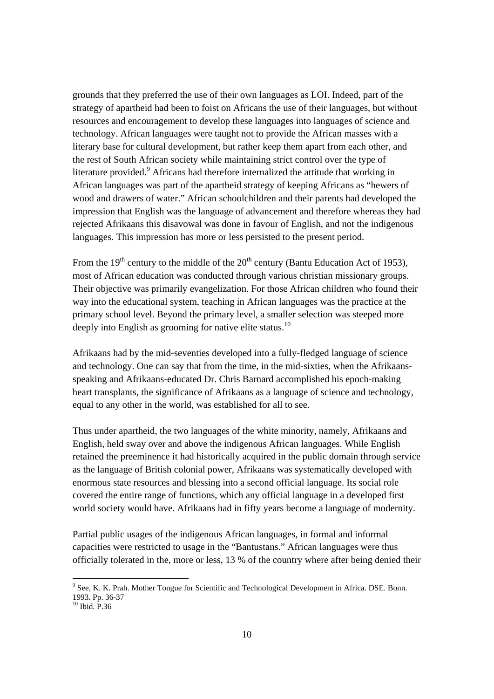grounds that they preferred the use of their own languages as LOI. Indeed, part of the strategy of apartheid had been to foist on Africans the use of their languages, but without resources and encouragement to develop these languages into languages of science and technology. African languages were taught not to provide the African masses with a literary base for cultural development, but rather keep them apart from each other, and the rest of South African society while maintaining strict control over the type of literature provided. <sup>9</sup> Africans had therefore internalized the attitude that working in African languages was part of the apartheid strategy of keeping Africans as "hewers of wood and drawers of water." African schoolchildren and their parents had developed the impression that English was the language of advancement and therefore whereas they had rejected Afrikaans this disavowal was done in favour of English, and not the indigenous languages. This impression has more or less persisted to the present period.

From the  $19<sup>th</sup>$  century to the middle of the  $20<sup>th</sup>$  century (Bantu Education Act of 1953), most of African education was conducted through various christian missionary groups. Their objective was primarily evangelization. For those African children who found their way into the educational system, teaching in African languages was the practice at the primary school level. Beyond the primary level, a smaller selection was steeped more deeply into English as grooming for native elite status.<sup>10</sup>

Afrikaans had by the mid-seventies developed into a fully-fledged language of science and technology. One can say that from the time, in the mid-sixties, when the Afrikaansspeaking and Afrikaans-educated Dr. Chris Barnard accomplished his epoch-making heart transplants, the significance of Afrikaans as a language of science and technology, equal to any other in the world, was established for all to see.

Thus under apartheid, the two languages of the white minority, namely, Afrikaans and English, held sway over and above the indigenous African languages. While English retained the preeminence it had historically acquired in the public domain through service as the language of British colonial power, Afrikaans was systematically developed with enormous state resources and blessing into a second official language. Its social role covered the entire range of functions, which any official language in a developed first world society would have. Afrikaans had in fifty years become a language of modernity.

Partial public usages of the indigenous African languages, in formal and informal capacities were restricted to usage in the "Bantustans." African languages were thus officially tolerated in the, more or less, 13 % of the country where after being denied their

<sup>&</sup>lt;sup>9</sup> See, K. K. Prah. Mother Tongue for Scientific and Technological Development in Africa. DSE. Bonn. 1993. Pp. 36-37

 $^{10}$  Ibid. P.36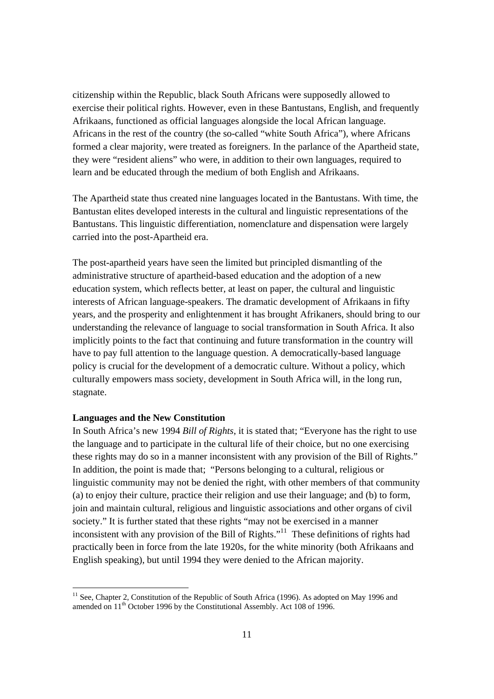citizenship within the Republic, black South Africans were supposedly allowed to exercise their political rights. However, even in these Bantustans, English, and frequently Afrikaans, functioned as official languages alongside the local African language. Africans in the rest of the country (the so-called "white South Africa"), where Africans formed a clear majority, were treated as foreigners. In the parlance of the Apartheid state, they were "resident aliens" who were, in addition to their own languages, required to learn and be educated through the medium of both English and Afrikaans.

The Apartheid state thus created nine languages located in the Bantustans. With time, the Bantustan elites developed interests in the cultural and linguistic representations of the Bantustans. This linguistic differentiation, nomenclature and dispensation were largely carried into the post-Apartheid era.

The post-apartheid years have seen the limited but principled dismantling of the administrative structure of apartheid-based education and the adoption of a new education system, which reflects better, at least on paper, the cultural and linguistic interests of African language-speakers. The dramatic development of Afrikaans in fifty years, and the prosperity and enlightenment it has brought Afrikaners, should bring to our understanding the relevance of language to social transformation in South Africa. It also implicitly points to the fact that continuing and future transformation in the country will have to pay full attention to the language question. A democratically-based language policy is crucial for the development of a democratic culture. Without a policy, which culturally empowers mass society, development in South Africa will, in the long run, stagnate.

# **Languages and the New Constitution**

In South Africa's new 1994 *Bill of Rights*, it is stated that; "Everyone has the right to use the language and to participate in the cultural life of their choice, but no one exercising these rights may do so in a manner inconsistent with any provision of the Bill of Rights." In addition, the point is made that; "Persons belonging to a cultural, religious or linguistic community may not be denied the right, with other members of that community (a) to enjoy their culture, practice their religion and use their language; and (b) to form, join and maintain cultural, religious and linguistic associations and other organs of civil society." It is further stated that these rights "may not be exercised in a manner inconsistent with any provision of the Bill of Rights. $"$ <sup>11</sup> These definitions of rights had practically been in force from the late 1920s, for the white minority (both Afrikaans and English speaking), but until 1994 they were denied to the African majority.

<sup>&</sup>lt;sup>11</sup> See, Chapter 2, Constitution of the Republic of South Africa (1996). As adopted on May 1996 and amended on 11<sup>th</sup> October 1996 by the Constitutional Assembly. Act 108 of 1996.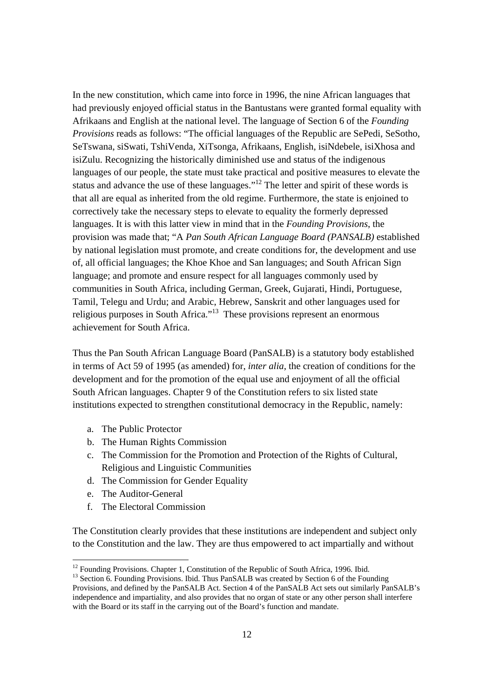In the new constitution, which came into force in 1996, the nine African languages that had previously enjoyed official status in the Bantustans were granted formal equality with Afrikaans and English at the national level. The language of Section 6 of the *Founding Provisions* reads as follows: "The official languages of the Republic are SePedi, SeSotho, SeTswana, siSwati, TshiVenda, XiTsonga, Afrikaans, English, isiNdebele, isiXhosa and isiZulu. Recognizing the historically diminished use and status of the indigenous languages of our people, the state must take practical and positive measures to elevate the status and advance the use of these languages."<sup>12</sup> The letter and spirit of these words is that all are equal as inherited from the old regime. Furthermore, the state is enjoined to correctively take the necessary steps to elevate to equality the formerly depressed languages. It is with this latter view in mind that in the *Founding Provisions*, the provision was made that; "A *Pan South African Language Board (PANSALB)* established by national legislation must promote, and create conditions for, the development and use of, all official languages; the Khoe Khoe and San languages; and South African Sign language; and promote and ensure respect for all languages commonly used by communities in South Africa, including German, Greek, Gujarati, Hindi, Portuguese, Tamil, Telegu and Urdu; and Arabic, Hebrew, Sanskrit and other languages used for religious purposes in South Africa."<sup>13</sup> These provisions represent an enormous achievement for South Africa.

Thus the Pan South African Language Board (PanSALB) is a statutory body established in terms of Act 59 of 1995 (as amended) for, *inter alia*, the creation of conditions for the development and for the promotion of the equal use and enjoyment of all the official South African languages. Chapter 9 of the Constitution refers to six listed state institutions expected to strengthen constitutional democracy in the Republic, namely:

- a. The Public Protector
- b. The Human Rights Commission
- c. The Commission for the Promotion and Protection of the Rights of Cultural, Religious and Linguistic Communities
- d. The Commission for Gender Equality
- e. The Auditor-General

 $\overline{a}$ 

f. The Electoral Commission

The Constitution clearly provides that these institutions are independent and subject only to the Constitution and the law. They are thus empowered to act impartially and without

 $12$  Founding Provisions. Chapter 1, Constitution of the Republic of South Africa, 1996. Ibid.

<sup>&</sup>lt;sup>13</sup> Section 6. Founding Provisions. Ibid. Thus PanSALB was created by Section 6 of the Founding Provisions, and defined by the PanSALB Act. Section 4 of the PanSALB Act sets out similarly PanSALB's independence and impartiality, and also provides that no organ of state or any other person shall interfere with the Board or its staff in the carrying out of the Board's function and mandate.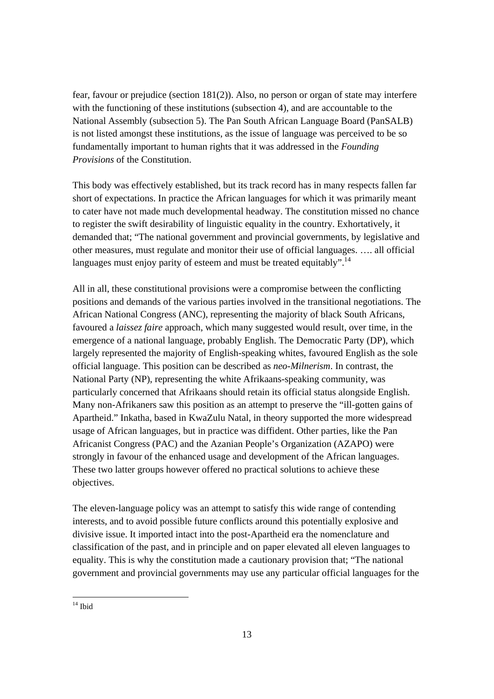fear, favour or prejudice (section 181(2)). Also, no person or organ of state may interfere with the functioning of these institutions (subsection 4), and are accountable to the National Assembly (subsection 5). The Pan South African Language Board (PanSALB) is not listed amongst these institutions, as the issue of language was perceived to be so fundamentally important to human rights that it was addressed in the *Founding Provisions* of the Constitution.

This body was effectively established, but its track record has in many respects fallen far short of expectations. In practice the African languages for which it was primarily meant to cater have not made much developmental headway. The constitution missed no chance to register the swift desirability of linguistic equality in the country. Exhortatively, it demanded that; "The national government and provincial governments, by legislative and other measures, must regulate and monitor their use of official languages. …. all official languages must enjoy parity of esteem and must be treated equitably".<sup>14</sup>

All in all, these constitutional provisions were a compromise between the conflicting positions and demands of the various parties involved in the transitional negotiations. The African National Congress (ANC), representing the majority of black South Africans, favoured a *laissez faire* approach, which many suggested would result, over time, in the emergence of a national language, probably English. The Democratic Party (DP), which largely represented the majority of English-speaking whites, favoured English as the sole official language. This position can be described as *neo-Milnerism*. In contrast, the National Party (NP), representing the white Afrikaans-speaking community, was particularly concerned that Afrikaans should retain its official status alongside English. Many non-Afrikaners saw this position as an attempt to preserve the "ill-gotten gains of Apartheid." Inkatha, based in KwaZulu Natal, in theory supported the more widespread usage of African languages, but in practice was diffident. Other parties, like the Pan Africanist Congress (PAC) and the Azanian People's Organization (AZAPO) were strongly in favour of the enhanced usage and development of the African languages. These two latter groups however offered no practical solutions to achieve these objectives.

The eleven-language policy was an attempt to satisfy this wide range of contending interests, and to avoid possible future conflicts around this potentially explosive and divisive issue. It imported intact into the post-Apartheid era the nomenclature and classification of the past, and in principle and on paper elevated all eleven languages to equality. This is why the constitution made a cautionary provision that; "The national government and provincial governments may use any particular official languages for the

 $14$  Ibid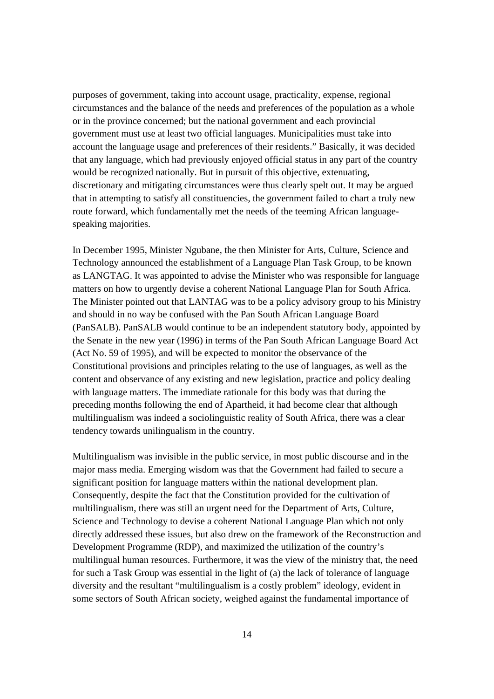purposes of government, taking into account usage, practicality, expense, regional circumstances and the balance of the needs and preferences of the population as a whole or in the province concerned; but the national government and each provincial government must use at least two official languages. Municipalities must take into account the language usage and preferences of their residents." Basically, it was decided that any language, which had previously enjoyed official status in any part of the country would be recognized nationally. But in pursuit of this objective, extenuating, discretionary and mitigating circumstances were thus clearly spelt out. It may be argued that in attempting to satisfy all constituencies, the government failed to chart a truly new route forward, which fundamentally met the needs of the teeming African languagespeaking majorities.

In December 1995, Minister Ngubane, the then Minister for Arts, Culture, Science and Technology announced the establishment of a Language Plan Task Group, to be known as LANGTAG. It was appointed to advise the Minister who was responsible for language matters on how to urgently devise a coherent National Language Plan for South Africa. The Minister pointed out that LANTAG was to be a policy advisory group to his Ministry and should in no way be confused with the Pan South African Language Board (PanSALB). PanSALB would continue to be an independent statutory body, appointed by the Senate in the new year (1996) in terms of the Pan South African Language Board Act (Act No. 59 of 1995), and will be expected to monitor the observance of the Constitutional provisions and principles relating to the use of languages, as well as the content and observance of any existing and new legislation, practice and policy dealing with language matters. The immediate rationale for this body was that during the preceding months following the end of Apartheid, it had become clear that although multilingualism was indeed a sociolinguistic reality of South Africa, there was a clear tendency towards unilingualism in the country.

Multilingualism was invisible in the public service, in most public discourse and in the major mass media. Emerging wisdom was that the Government had failed to secure a significant position for language matters within the national development plan. Consequently, despite the fact that the Constitution provided for the cultivation of multilingualism, there was still an urgent need for the Department of Arts, Culture, Science and Technology to devise a coherent National Language Plan which not only directly addressed these issues, but also drew on the framework of the Reconstruction and Development Programme (RDP), and maximized the utilization of the country's multilingual human resources. Furthermore, it was the view of the ministry that, the need for such a Task Group was essential in the light of (a) the lack of tolerance of language diversity and the resultant "multilingualism is a costly problem" ideology, evident in some sectors of South African society, weighed against the fundamental importance of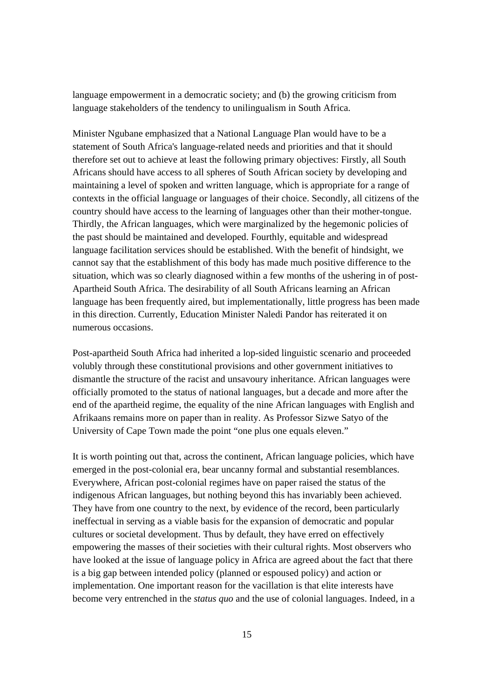language empowerment in a democratic society; and (b) the growing criticism from language stakeholders of the tendency to unilingualism in South Africa.

Minister Ngubane emphasized that a National Language Plan would have to be a statement of South Africa's language-related needs and priorities and that it should therefore set out to achieve at least the following primary objectives: Firstly, all South Africans should have access to all spheres of South African society by developing and maintaining a level of spoken and written language, which is appropriate for a range of contexts in the official language or languages of their choice. Secondly, all citizens of the country should have access to the learning of languages other than their mother-tongue. Thirdly, the African languages, which were marginalized by the hegemonic policies of the past should be maintained and developed. Fourthly, equitable and widespread language facilitation services should be established. With the benefit of hindsight, we cannot say that the establishment of this body has made much positive difference to the situation, which was so clearly diagnosed within a few months of the ushering in of post-Apartheid South Africa. The desirability of all South Africans learning an African language has been frequently aired, but implementationally, little progress has been made in this direction. Currently, Education Minister Naledi Pandor has reiterated it on numerous occasions.

Post-apartheid South Africa had inherited a lop-sided linguistic scenario and proceeded volubly through these constitutional provisions and other government initiatives to dismantle the structure of the racist and unsavoury inheritance. African languages were officially promoted to the status of national languages, but a decade and more after the end of the apartheid regime, the equality of the nine African languages with English and Afrikaans remains more on paper than in reality. As Professor Sizwe Satyo of the University of Cape Town made the point "one plus one equals eleven."

It is worth pointing out that, across the continent, African language policies, which have emerged in the post-colonial era, bear uncanny formal and substantial resemblances. Everywhere, African post-colonial regimes have on paper raised the status of the indigenous African languages, but nothing beyond this has invariably been achieved. They have from one country to the next, by evidence of the record, been particularly ineffectual in serving as a viable basis for the expansion of democratic and popular cultures or societal development. Thus by default, they have erred on effectively empowering the masses of their societies with their cultural rights. Most observers who have looked at the issue of language policy in Africa are agreed about the fact that there is a big gap between intended policy (planned or espoused policy) and action or implementation. One important reason for the vacillation is that elite interests have become very entrenched in the *status quo* and the use of colonial languages. Indeed, in a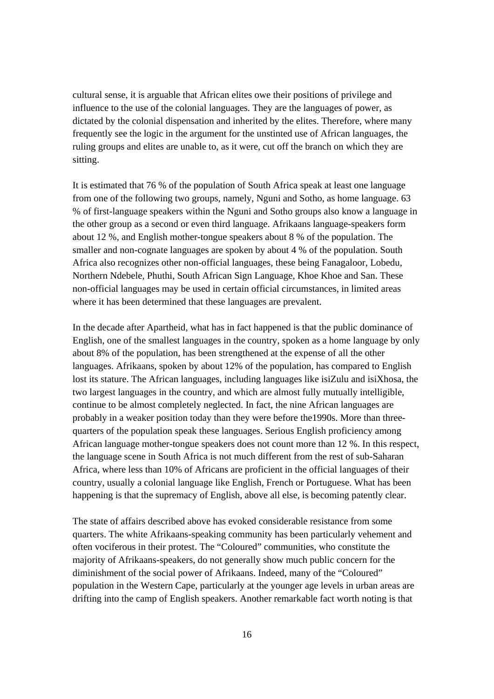cultural sense, it is arguable that African elites owe their positions of privilege and influence to the use of the colonial languages. They are the languages of power, as dictated by the colonial dispensation and inherited by the elites. Therefore, where many frequently see the logic in the argument for the unstinted use of African languages, the ruling groups and elites are unable to, as it were, cut off the branch on which they are sitting.

It is estimated that 76 % of the population of South Africa speak at least one language from one of the following two groups, namely, Nguni and Sotho, as home language. 63 % of first-language speakers within the Nguni and Sotho groups also know a language in the other group as a second or even third language. Afrikaans language-speakers form about 12 %, and English mother-tongue speakers about 8 % of the population. The smaller and non-cognate languages are spoken by about 4 % of the population. South Africa also recognizes other non-official languages, these being Fanagaloor, Lobedu, Northern Ndebele, Phuthi, South African Sign Language, Khoe Khoe and San. These non-official languages may be used in certain official circumstances, in limited areas where it has been determined that these languages are prevalent.

In the decade after Apartheid, what has in fact happened is that the public dominance of English, one of the smallest languages in the country, spoken as a home language by only about 8% of the population, has been strengthened at the expense of all the other languages. Afrikaans, spoken by about 12% of the population, has compared to English lost its stature. The African languages, including languages like isiZulu and isiXhosa, the two largest languages in the country, and which are almost fully mutually intelligible, continue to be almost completely neglected. In fact, the nine African languages are probably in a weaker position today than they were before the1990s. More than threequarters of the population speak these languages. Serious English proficiency among African language mother-tongue speakers does not count more than 12 %. In this respect, the language scene in South Africa is not much different from the rest of sub-Saharan Africa, where less than 10% of Africans are proficient in the official languages of their country, usually a colonial language like English, French or Portuguese. What has been happening is that the supremacy of English, above all else, is becoming patently clear.

The state of affairs described above has evoked considerable resistance from some quarters. The white Afrikaans-speaking community has been particularly vehement and often vociferous in their protest. The "Coloured" communities, who constitute the majority of Afrikaans-speakers, do not generally show much public concern for the diminishment of the social power of Afrikaans. Indeed, many of the "Coloured" population in the Western Cape, particularly at the younger age levels in urban areas are drifting into the camp of English speakers. Another remarkable fact worth noting is that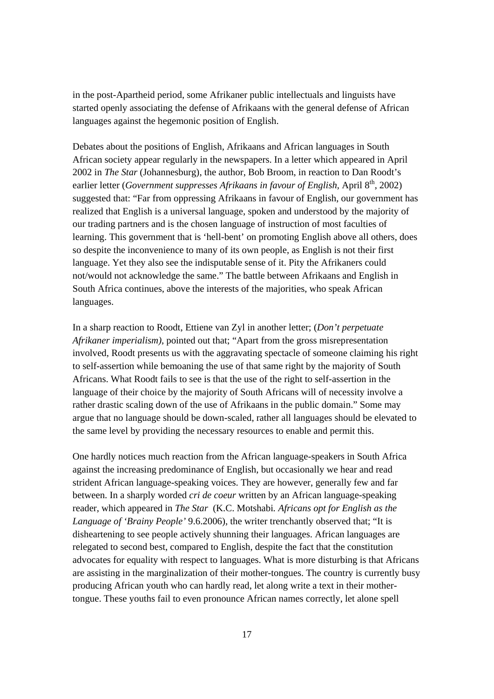in the post-Apartheid period, some Afrikaner public intellectuals and linguists have started openly associating the defense of Afrikaans with the general defense of African languages against the hegemonic position of English.

Debates about the positions of English, Afrikaans and African languages in South African society appear regularly in the newspapers. In a letter which appeared in April 2002 in *The Star* (Johannesburg), the author, Bob Broom, in reaction to Dan Roodt's earlier letter (*Government suppresses Afrikaans in favour of English*, April 8<sup>th</sup>, 2002) suggested that: "Far from oppressing Afrikaans in favour of English, our government has realized that English is a universal language, spoken and understood by the majority of our trading partners and is the chosen language of instruction of most faculties of learning. This government that is 'hell-bent' on promoting English above all others, does so despite the inconvenience to many of its own people, as English is not their first language. Yet they also see the indisputable sense of it. Pity the Afrikaners could not/would not acknowledge the same." The battle between Afrikaans and English in South Africa continues, above the interests of the majorities, who speak African languages.

In a sharp reaction to Roodt, Ettiene van Zyl in another letter; (*Don't perpetuate Afrikaner imperialism)*, pointed out that; "Apart from the gross misrepresentation involved, Roodt presents us with the aggravating spectacle of someone claiming his right to self-assertion while bemoaning the use of that same right by the majority of South Africans. What Roodt fails to see is that the use of the right to self-assertion in the language of their choice by the majority of South Africans will of necessity involve a rather drastic scaling down of the use of Afrikaans in the public domain." Some may argue that no language should be down-scaled, rather all languages should be elevated to the same level by providing the necessary resources to enable and permit this.

One hardly notices much reaction from the African language-speakers in South Africa against the increasing predominance of English, but occasionally we hear and read strident African language-speaking voices. They are however, generally few and far between. In a sharply worded *cri de coeur* written by an African language-speaking reader, which appeared in *The Star* (K.C. Motshabi*. Africans opt for English as the Language of 'Brainy People'* 9.6.2006), the writer trenchantly observed that; "It is disheartening to see people actively shunning their languages. African languages are relegated to second best, compared to English, despite the fact that the constitution advocates for equality with respect to languages. What is more disturbing is that Africans are assisting in the marginalization of their mother-tongues. The country is currently busy producing African youth who can hardly read, let along write a text in their mothertongue. These youths fail to even pronounce African names correctly, let alone spell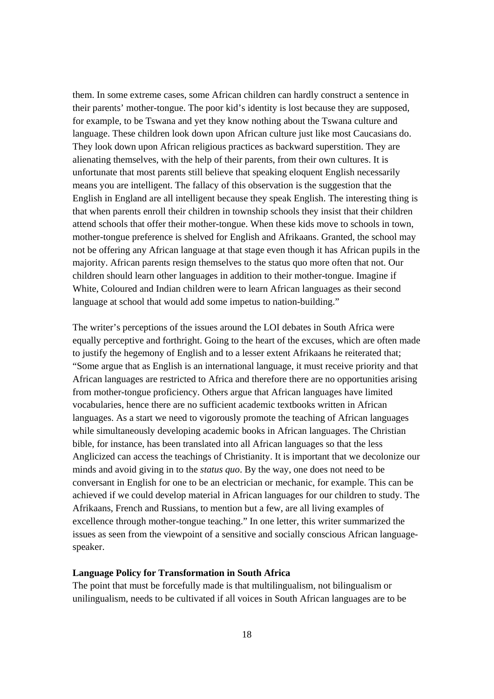them. In some extreme cases, some African children can hardly construct a sentence in their parents' mother-tongue. The poor kid's identity is lost because they are supposed, for example, to be Tswana and yet they know nothing about the Tswana culture and language. These children look down upon African culture just like most Caucasians do. They look down upon African religious practices as backward superstition. They are alienating themselves, with the help of their parents, from their own cultures. It is unfortunate that most parents still believe that speaking eloquent English necessarily means you are intelligent. The fallacy of this observation is the suggestion that the English in England are all intelligent because they speak English. The interesting thing is that when parents enroll their children in township schools they insist that their children attend schools that offer their mother-tongue. When these kids move to schools in town, mother-tongue preference is shelved for English and Afrikaans. Granted, the school may not be offering any African language at that stage even though it has African pupils in the majority. African parents resign themselves to the status quo more often that not. Our children should learn other languages in addition to their mother-tongue. Imagine if White, Coloured and Indian children were to learn African languages as their second language at school that would add some impetus to nation-building."

The writer's perceptions of the issues around the LOI debates in South Africa were equally perceptive and forthright. Going to the heart of the excuses, which are often made to justify the hegemony of English and to a lesser extent Afrikaans he reiterated that; "Some argue that as English is an international language, it must receive priority and that African languages are restricted to Africa and therefore there are no opportunities arising from mother-tongue proficiency. Others argue that African languages have limited vocabularies, hence there are no sufficient academic textbooks written in African languages. As a start we need to vigorously promote the teaching of African languages while simultaneously developing academic books in African languages. The Christian bible, for instance, has been translated into all African languages so that the less Anglicized can access the teachings of Christianity. It is important that we decolonize our minds and avoid giving in to the *status quo*. By the way, one does not need to be conversant in English for one to be an electrician or mechanic, for example. This can be achieved if we could develop material in African languages for our children to study. The Afrikaans, French and Russians, to mention but a few, are all living examples of excellence through mother-tongue teaching." In one letter, this writer summarized the issues as seen from the viewpoint of a sensitive and socially conscious African languagespeaker.

#### **Language Policy for Transformation in South Africa**

The point that must be forcefully made is that multilingualism, not bilingualism or unilingualism, needs to be cultivated if all voices in South African languages are to be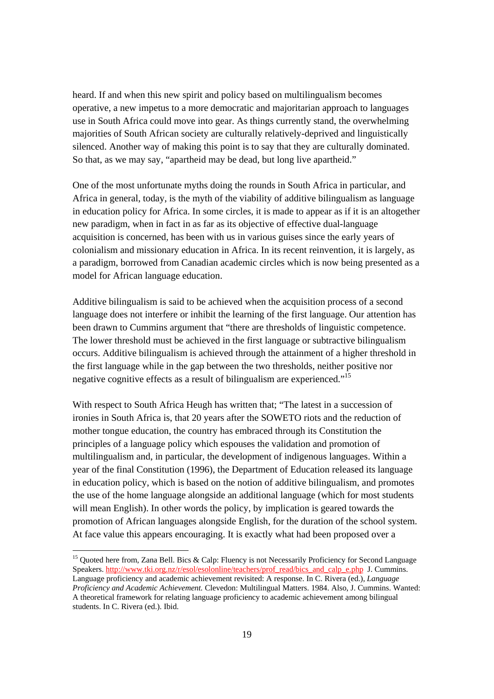heard. If and when this new spirit and policy based on multilingualism becomes operative, a new impetus to a more democratic and majoritarian approach to languages use in South Africa could move into gear. As things currently stand, the overwhelming majorities of South African society are culturally relatively-deprived and linguistically silenced. Another way of making this point is to say that they are culturally dominated. So that, as we may say, "apartheid may be dead, but long live apartheid."

One of the most unfortunate myths doing the rounds in South Africa in particular, and Africa in general, today, is the myth of the viability of additive bilingualism as language in education policy for Africa. In some circles, it is made to appear as if it is an altogether new paradigm, when in fact in as far as its objective of effective dual-language acquisition is concerned, has been with us in various guises since the early years of colonialism and missionary education in Africa. In its recent reinvention, it is largely, as a paradigm, borrowed from Canadian academic circles which is now being presented as a model for African language education.

Additive bilingualism is said to be achieved when the acquisition process of a second language does not interfere or inhibit the learning of the first language. Our attention has been drawn to Cummins argument that "there are thresholds of linguistic competence. The lower threshold must be achieved in the first language or subtractive bilingualism occurs. Additive bilingualism is achieved through the attainment of a higher threshold in the first language while in the gap between the two thresholds, neither positive nor negative cognitive effects as a result of bilingualism are experienced."15

With respect to South Africa Heugh has written that; "The latest in a succession of ironies in South Africa is, that 20 years after the SOWETO riots and the reduction of mother tongue education, the country has embraced through its Constitution the principles of a language policy which espouses the validation and promotion of multilingualism and, in particular, the development of indigenous languages. Within a year of the final Constitution (1996), the Department of Education released its language in education policy, which is based on the notion of additive bilingualism, and promotes the use of the home language alongside an additional language (which for most students will mean English). In other words the policy, by implication is geared towards the promotion of African languages alongside English, for the duration of the school system. At face value this appears encouraging. It is exactly what had been proposed over a

 $\overline{a}$ 

<sup>&</sup>lt;sup>15</sup> Quoted here from, Zana Bell. Bics & Calp: Fluency is not Necessarily Proficiency for Second Language Speakers. http://www.tki.org.nz/r/esol/esolonline/teachers/prof\_read/bics\_and\_calp\_e.php J. Cummins. Language proficiency and academic achievement revisited: A response. In C. Rivera (ed.), *Language Proficiency and Academic Achievement.* Clevedon: Multilingual Matters. 1984. Also, J. Cummins. Wanted: A theoretical framework for relating language proficiency to academic achievement among bilingual students. In C. Rivera (ed.). Ibid.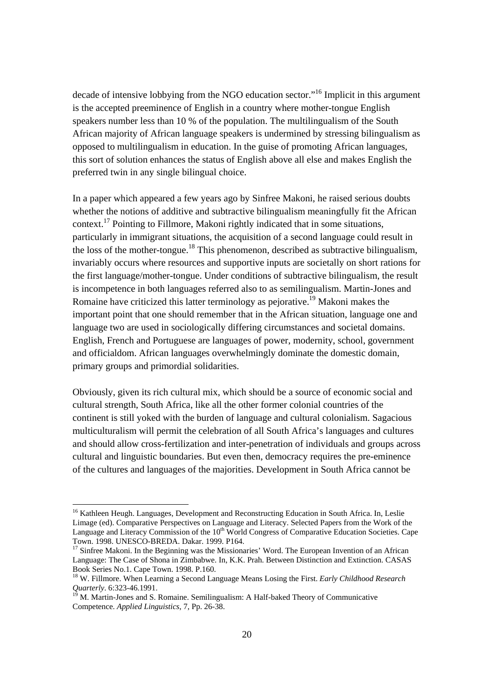decade of intensive lobbying from the NGO education sector.<sup>"16</sup> Implicit in this argument is the accepted preeminence of English in a country where mother-tongue English speakers number less than 10 % of the population. The multilingualism of the South African majority of African language speakers is undermined by stressing bilingualism as opposed to multilingualism in education. In the guise of promoting African languages, this sort of solution enhances the status of English above all else and makes English the preferred twin in any single bilingual choice.

In a paper which appeared a few years ago by Sinfree Makoni, he raised serious doubts whether the notions of additive and subtractive bilingualism meaningfully fit the African context.17 Pointing to Fillmore, Makoni rightly indicated that in some situations, particularly in immigrant situations, the acquisition of a second language could result in the loss of the mother-tongue.<sup>18</sup> This phenomenon, described as subtractive bilingualism, invariably occurs where resources and supportive inputs are societally on short rations for the first language/mother-tongue. Under conditions of subtractive bilingualism, the result is incompetence in both languages referred also to as semilingualism. Martin-Jones and Romaine have criticized this latter terminology as pejorative.<sup>19</sup> Makoni makes the important point that one should remember that in the African situation, language one and language two are used in sociologically differing circumstances and societal domains. English, French and Portuguese are languages of power, modernity, school, government and officialdom. African languages overwhelmingly dominate the domestic domain, primary groups and primordial solidarities.

Obviously, given its rich cultural mix, which should be a source of economic social and cultural strength, South Africa, like all the other former colonial countries of the continent is still yoked with the burden of language and cultural colonialism. Sagacious multiculturalism will permit the celebration of all South Africa's languages and cultures and should allow cross-fertilization and inter-penetration of individuals and groups across cultural and linguistic boundaries. But even then, democracy requires the pre-eminence of the cultures and languages of the majorities. Development in South Africa cannot be

l

<sup>&</sup>lt;sup>16</sup> Kathleen Heugh. Languages, Development and Reconstructing Education in South Africa. In, Leslie Limage (ed). Comparative Perspectives on Language and Literacy. Selected Papers from the Work of the Language and Literacy Commission of the 10<sup>th</sup> World Congress of Comparative Education Societies. Cape Town. 1998. UNESCO-BREDA. Dakar. 1999. P164.

 $17$  Sinfree Makoni. In the Beginning was the Missionaries' Word. The European Invention of an African Language: The Case of Shona in Zimbabwe. In, K.K. Prah. Between Distinction and Extinction. CASAS Book Series No.1. Cape Town. 1998. P.160.

<sup>18</sup> W. Fillmore. When Learning a Second Language Means Losing the First. *Early Childhood Research Quarterly*. 6:323-46.1991.<br><sup>19</sup> M. Martin-Jones and S. Romaine. Semilingualism: A Half-baked Theory of Communicative

Competence. *Applied Linguistics*, 7, Pp. 26-38.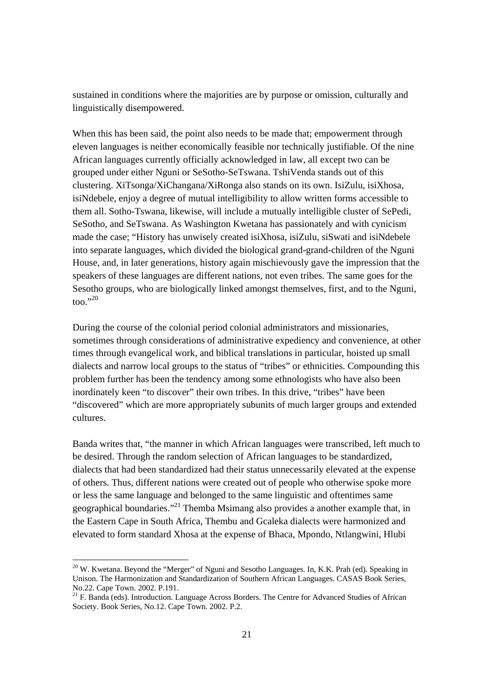sustained in conditions where the majorities are by purpose or omission, culturally and linguistically disempowered.

When this has been said, the point also needs to be made that; empowerment through eleven languages is neither economically feasible nor technically justifiable. Of the nine African languages currently officially acknowledged in law, all except two can be grouped under either Nguni or SeSotho-SeTswana. TshiVenda stands out of this clustering. XiTsonga/XiChangana/XiRonga also stands on its own. IsiZulu, isiXhosa, isiNdebele, enjoy a degree of mutual intelligibility to allow written forms accessible to them all. Sotho-Tswana, likewise, will include a mutually intelligible cluster of SePedi, SeSotho, and SeTswana. As Washington Kwetana has passionately and with cynicism made the case; "History has unwisely created isiXhosa, isiZulu, siSwati and isiNdebele into separate languages, which divided the biological grand-grand-children of the Nguni House, and, in later generations, history again mischievously gave the impression that the speakers of these languages are different nations, not even tribes. The same goes for the Sesotho groups, who are biologically linked amongst themselves, first, and to the Nguni,  $\text{too.}^{\cdot,20}$ 

During the course of the colonial period colonial administrators and missionaries, sometimes through considerations of administrative expediency and convenience, at other times through evangelical work, and biblical translations in particular, hoisted up small dialects and narrow local groups to the status of "tribes" or ethnicities. Compounding this problem further has been the tendency among some ethnologists who have also been inordinately keen "to discover" their own tribes. In this drive, "tribes" have been "discovered" which are more appropriately subunits of much larger groups and extended cultures.

Banda writes that, "the manner in which African languages were transcribed, left much to be desired. Through the random selection of African languages to be standardized, dialects that had been standardized had their status unnecessarily elevated at the expense of others. Thus, different nations were created out of people who otherwise spoke more or less the same language and belonged to the same linguistic and oftentimes same geographical boundaries."<sup>21</sup> Themba Msimang also provides a another example that, in the Eastern Cape in South Africa, Thembu and Gcaleka dialects were harmonized and elevated to form standard Xhosa at the expense of Bhaca, Mpondo, Ntlangwini, Hlubi

 $\overline{a}$ 

 $^{20}$  W. Kwetana. Beyond the "Merger" of Nguni and Sesotho Languages. In, K.K. Prah (ed). Speaking in Unison. The Harmonization and Standardization of Southern African Languages. CASAS Book Series, No.22. Cape Town. 2002. P.191.

<sup>&</sup>lt;sup>21</sup> F. Banda (eds). Introduction. Language Across Borders. The Centre for Advanced Studies of African Society. Book Series, No.12. Cape Town. 2002. P.2.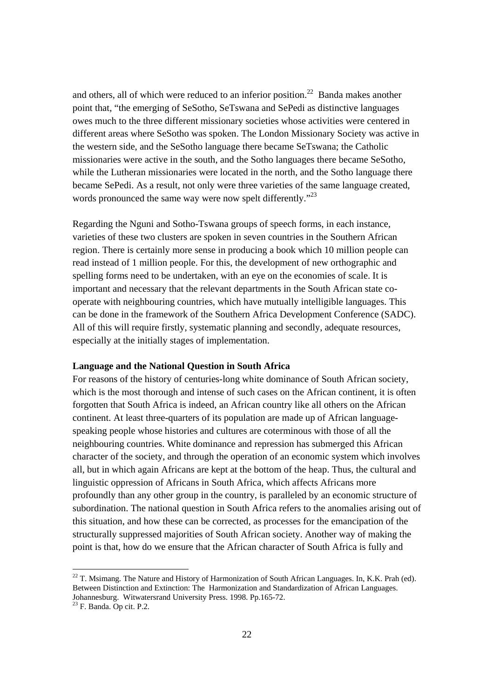and others, all of which were reduced to an inferior position.<sup>22</sup> Banda makes another point that, "the emerging of SeSotho, SeTswana and SePedi as distinctive languages owes much to the three different missionary societies whose activities were centered in different areas where SeSotho was spoken. The London Missionary Society was active in the western side, and the SeSotho language there became SeTswana; the Catholic missionaries were active in the south, and the Sotho languages there became SeSotho, while the Lutheran missionaries were located in the north, and the Sotho language there became SePedi. As a result, not only were three varieties of the same language created, words pronounced the same way were now spelt differently."<sup>23</sup>

Regarding the Nguni and Sotho-Tswana groups of speech forms, in each instance, varieties of these two clusters are spoken in seven countries in the Southern African region. There is certainly more sense in producing a book which 10 million people can read instead of 1 million people. For this, the development of new orthographic and spelling forms need to be undertaken, with an eye on the economies of scale. It is important and necessary that the relevant departments in the South African state cooperate with neighbouring countries, which have mutually intelligible languages. This can be done in the framework of the Southern Africa Development Conference (SADC). All of this will require firstly, systematic planning and secondly, adequate resources, especially at the initially stages of implementation.

#### **Language and the National Question in South Africa**

For reasons of the history of centuries-long white dominance of South African society, which is the most thorough and intense of such cases on the African continent, it is often forgotten that South Africa is indeed, an African country like all others on the African continent. At least three-quarters of its population are made up of African languagespeaking people whose histories and cultures are coterminous with those of all the neighbouring countries. White dominance and repression has submerged this African character of the society, and through the operation of an economic system which involves all, but in which again Africans are kept at the bottom of the heap. Thus, the cultural and linguistic oppression of Africans in South Africa, which affects Africans more profoundly than any other group in the country, is paralleled by an economic structure of subordination. The national question in South Africa refers to the anomalies arising out of this situation, and how these can be corrected, as processes for the emancipation of the structurally suppressed majorities of South African society. Another way of making the point is that, how do we ensure that the African character of South Africa is fully and

<sup>22</sup> T. Msimang. The Nature and History of Harmonization of South African Languages. In, K.K. Prah (ed). Between Distinction and Extinction: The Harmonization and Standardization of African Languages. Johannesburg. Witwatersrand University Press. 1998. Pp.165-72.

 $23$  F. Banda. Op cit. P.2.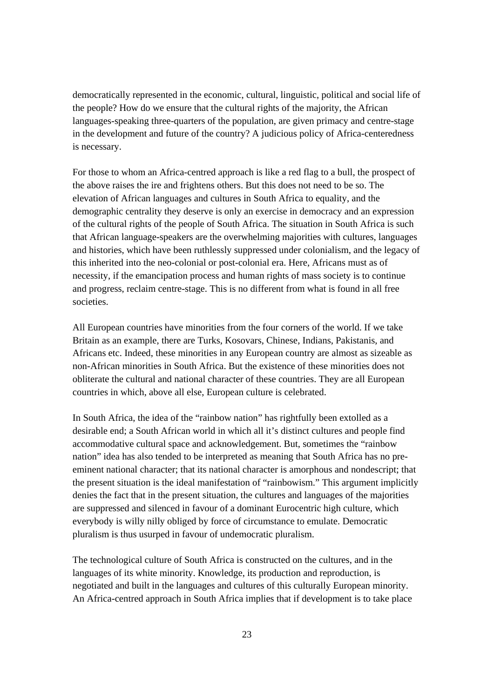democratically represented in the economic, cultural, linguistic, political and social life of the people? How do we ensure that the cultural rights of the majority, the African languages-speaking three-quarters of the population, are given primacy and centre-stage in the development and future of the country? A judicious policy of Africa-centeredness is necessary.

For those to whom an Africa-centred approach is like a red flag to a bull, the prospect of the above raises the ire and frightens others. But this does not need to be so. The elevation of African languages and cultures in South Africa to equality, and the demographic centrality they deserve is only an exercise in democracy and an expression of the cultural rights of the people of South Africa. The situation in South Africa is such that African language-speakers are the overwhelming majorities with cultures, languages and histories, which have been ruthlessly suppressed under colonialism, and the legacy of this inherited into the neo-colonial or post-colonial era. Here, Africans must as of necessity, if the emancipation process and human rights of mass society is to continue and progress, reclaim centre-stage. This is no different from what is found in all free societies.

All European countries have minorities from the four corners of the world. If we take Britain as an example, there are Turks, Kosovars, Chinese, Indians, Pakistanis, and Africans etc. Indeed, these minorities in any European country are almost as sizeable as non-African minorities in South Africa. But the existence of these minorities does not obliterate the cultural and national character of these countries. They are all European countries in which, above all else, European culture is celebrated.

In South Africa, the idea of the "rainbow nation" has rightfully been extolled as a desirable end; a South African world in which all it's distinct cultures and people find accommodative cultural space and acknowledgement. But, sometimes the "rainbow nation" idea has also tended to be interpreted as meaning that South Africa has no preeminent national character; that its national character is amorphous and nondescript; that the present situation is the ideal manifestation of "rainbowism." This argument implicitly denies the fact that in the present situation, the cultures and languages of the majorities are suppressed and silenced in favour of a dominant Eurocentric high culture, which everybody is willy nilly obliged by force of circumstance to emulate. Democratic pluralism is thus usurped in favour of undemocratic pluralism.

The technological culture of South Africa is constructed on the cultures, and in the languages of its white minority. Knowledge, its production and reproduction, is negotiated and built in the languages and cultures of this culturally European minority. An Africa-centred approach in South Africa implies that if development is to take place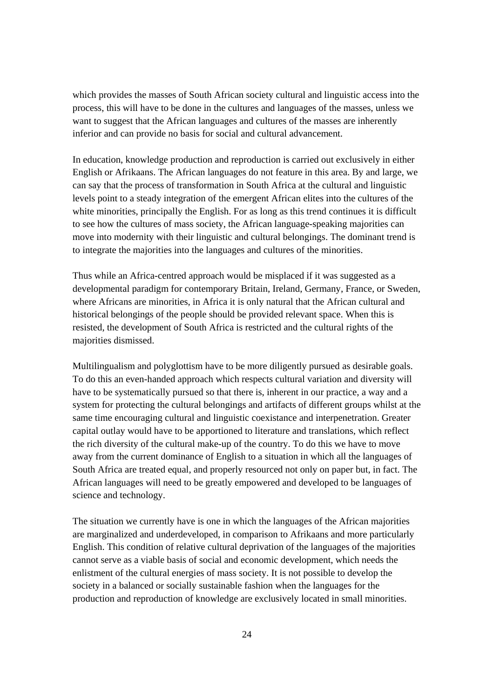which provides the masses of South African society cultural and linguistic access into the process, this will have to be done in the cultures and languages of the masses, unless we want to suggest that the African languages and cultures of the masses are inherently inferior and can provide no basis for social and cultural advancement.

In education, knowledge production and reproduction is carried out exclusively in either English or Afrikaans. The African languages do not feature in this area. By and large, we can say that the process of transformation in South Africa at the cultural and linguistic levels point to a steady integration of the emergent African elites into the cultures of the white minorities, principally the English. For as long as this trend continues it is difficult to see how the cultures of mass society, the African language-speaking majorities can move into modernity with their linguistic and cultural belongings. The dominant trend is to integrate the majorities into the languages and cultures of the minorities.

Thus while an Africa-centred approach would be misplaced if it was suggested as a developmental paradigm for contemporary Britain, Ireland, Germany, France, or Sweden, where Africans are minorities, in Africa it is only natural that the African cultural and historical belongings of the people should be provided relevant space. When this is resisted, the development of South Africa is restricted and the cultural rights of the majorities dismissed.

Multilingualism and polyglottism have to be more diligently pursued as desirable goals. To do this an even-handed approach which respects cultural variation and diversity will have to be systematically pursued so that there is, inherent in our practice, a way and a system for protecting the cultural belongings and artifacts of different groups whilst at the same time encouraging cultural and linguistic coexistance and interpenetration. Greater capital outlay would have to be apportioned to literature and translations, which reflect the rich diversity of the cultural make-up of the country. To do this we have to move away from the current dominance of English to a situation in which all the languages of South Africa are treated equal, and properly resourced not only on paper but, in fact. The African languages will need to be greatly empowered and developed to be languages of science and technology.

The situation we currently have is one in which the languages of the African majorities are marginalized and underdeveloped, in comparison to Afrikaans and more particularly English. This condition of relative cultural deprivation of the languages of the majorities cannot serve as a viable basis of social and economic development, which needs the enlistment of the cultural energies of mass society. It is not possible to develop the society in a balanced or socially sustainable fashion when the languages for the production and reproduction of knowledge are exclusively located in small minorities.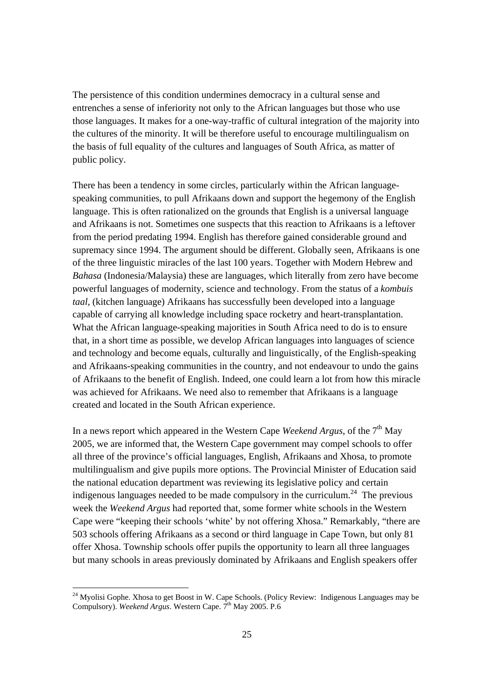The persistence of this condition undermines democracy in a cultural sense and entrenches a sense of inferiority not only to the African languages but those who use those languages. It makes for a one-way-traffic of cultural integration of the majority into the cultures of the minority. It will be therefore useful to encourage multilingualism on the basis of full equality of the cultures and languages of South Africa, as matter of public policy.

There has been a tendency in some circles, particularly within the African languagespeaking communities, to pull Afrikaans down and support the hegemony of the English language. This is often rationalized on the grounds that English is a universal language and Afrikaans is not. Sometimes one suspects that this reaction to Afrikaans is a leftover from the period predating 1994. English has therefore gained considerable ground and supremacy since 1994. The argument should be different. Globally seen, Afrikaans is one of the three linguistic miracles of the last 100 years. Together with Modern Hebrew and *Bahasa* (Indonesia/Malaysia) these are languages, which literally from zero have become powerful languages of modernity, science and technology. From the status of a *kombuis taal,* (kitchen language) Afrikaans has successfully been developed into a language capable of carrying all knowledge including space rocketry and heart-transplantation. What the African language-speaking majorities in South Africa need to do is to ensure that, in a short time as possible, we develop African languages into languages of science and technology and become equals, culturally and linguistically, of the English-speaking and Afrikaans-speaking communities in the country, and not endeavour to undo the gains of Afrikaans to the benefit of English. Indeed, one could learn a lot from how this miracle was achieved for Afrikaans. We need also to remember that Afrikaans is a language created and located in the South African experience.

In a news report which appeared in the Western Cape *Weekend Argus*, of the 7<sup>th</sup> May 2005, we are informed that, the Western Cape government may compel schools to offer all three of the province's official languages, English, Afrikaans and Xhosa, to promote multilingualism and give pupils more options. The Provincial Minister of Education said the national education department was reviewing its legislative policy and certain indigenous languages needed to be made compulsory in the curriculum.<sup>24</sup> The previous week the *Weekend Argus* had reported that, some former white schools in the Western Cape were "keeping their schools 'white' by not offering Xhosa." Remarkably, "there are 503 schools offering Afrikaans as a second or third language in Cape Town, but only 81 offer Xhosa. Township schools offer pupils the opportunity to learn all three languages but many schools in areas previously dominated by Afrikaans and English speakers offer

<sup>&</sup>lt;sup>24</sup> Myolisi Gophe. Xhosa to get Boost in W. Cape Schools. (Policy Review: Indigenous Languages may be Compulsory). *Weekend Argus*. Western Cape. 7<sup>th</sup> May 2005. P.6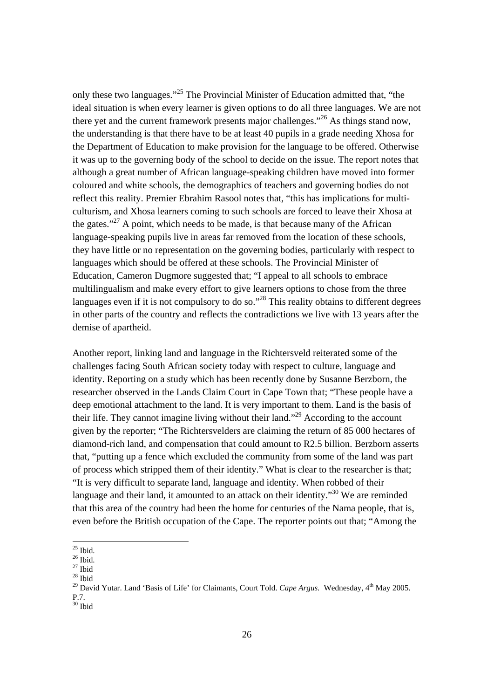only these two languages."<sup>25</sup> The Provincial Minister of Education admitted that, "the ideal situation is when every learner is given options to do all three languages. We are not there yet and the current framework presents major challenges."<sup>26</sup> As things stand now, the understanding is that there have to be at least 40 pupils in a grade needing Xhosa for the Department of Education to make provision for the language to be offered. Otherwise it was up to the governing body of the school to decide on the issue. The report notes that although a great number of African language-speaking children have moved into former coloured and white schools, the demographics of teachers and governing bodies do not reflect this reality. Premier Ebrahim Rasool notes that, "this has implications for multiculturism, and Xhosa learners coming to such schools are forced to leave their Xhosa at the gates." $27$  A point, which needs to be made, is that because many of the African language-speaking pupils live in areas far removed from the location of these schools, they have little or no representation on the governing bodies, particularly with respect to languages which should be offered at these schools. The Provincial Minister of Education, Cameron Dugmore suggested that; "I appeal to all schools to embrace multilingualism and make every effort to give learners options to chose from the three languages even if it is not compulsory to do so."<sup>28</sup> This reality obtains to different degrees in other parts of the country and reflects the contradictions we live with 13 years after the demise of apartheid.

Another report, linking land and language in the Richtersveld reiterated some of the challenges facing South African society today with respect to culture, language and identity. Reporting on a study which has been recently done by Susanne Berzborn, the researcher observed in the Lands Claim Court in Cape Town that; "These people have a deep emotional attachment to the land. It is very important to them. Land is the basis of their life. They cannot imagine living without their land."29 According to the account given by the reporter; "The Richtersvelders are claiming the return of 85 000 hectares of diamond-rich land, and compensation that could amount to R2.5 billion. Berzborn asserts that, "putting up a fence which excluded the community from some of the land was part of process which stripped them of their identity." What is clear to the researcher is that; "It is very difficult to separate land, language and identity. When robbed of their language and their land, it amounted to an attack on their identity.<sup> $30$ </sup> We are reminded that this area of the country had been the home for centuries of the Nama people, that is, even before the British occupation of the Cape. The reporter points out that; "Among the

 $30$  Ibid

 $25$  Ibid.

 $26$  Ibid.

 $27$  Ibid  $28$  Ibid

<sup>&</sup>lt;sup>29</sup> David Yutar. Land 'Basis of Life' for Claimants, Court Told. *Cape Argus.* Wednesday, 4<sup>th</sup> May 2005. P.7.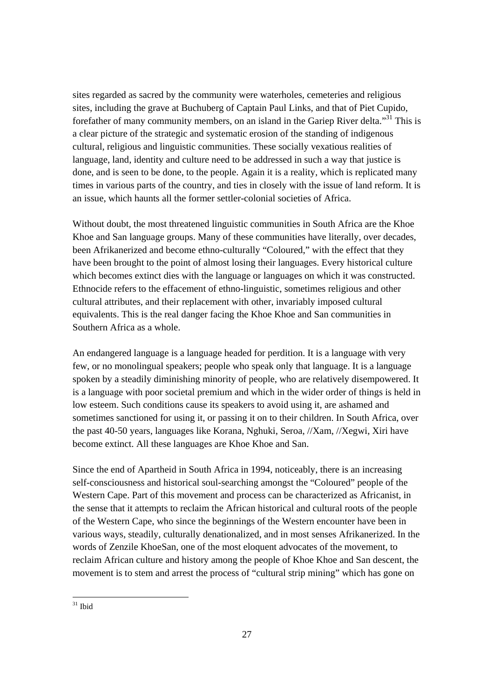sites regarded as sacred by the community were waterholes, cemeteries and religious sites, including the grave at Buchuberg of Captain Paul Links, and that of Piet Cupido, forefather of many community members, on an island in the Gariep River delta."31 This is a clear picture of the strategic and systematic erosion of the standing of indigenous cultural, religious and linguistic communities. These socially vexatious realities of language, land, identity and culture need to be addressed in such a way that justice is done, and is seen to be done, to the people. Again it is a reality, which is replicated many times in various parts of the country, and ties in closely with the issue of land reform. It is an issue, which haunts all the former settler-colonial societies of Africa.

Without doubt, the most threatened linguistic communities in South Africa are the Khoe Khoe and San language groups. Many of these communities have literally, over decades, been Afrikanerized and become ethno-culturally "Coloured," with the effect that they have been brought to the point of almost losing their languages. Every historical culture which becomes extinct dies with the language or languages on which it was constructed. Ethnocide refers to the effacement of ethno-linguistic, sometimes religious and other cultural attributes, and their replacement with other, invariably imposed cultural equivalents. This is the real danger facing the Khoe Khoe and San communities in Southern Africa as a whole.

An endangered language is a language headed for perdition. It is a language with very few, or no monolingual speakers; people who speak only that language. It is a language spoken by a steadily diminishing minority of people, who are relatively disempowered. It is a language with poor societal premium and which in the wider order of things is held in low esteem. Such conditions cause its speakers to avoid using it, are ashamed and sometimes sanctioned for using it, or passing it on to their children. In South Africa, over the past 40-50 years, languages like Korana, Nghuki, Seroa, //Xam, //Xegwi, Xiri have become extinct. All these languages are Khoe Khoe and San.

Since the end of Apartheid in South Africa in 1994, noticeably, there is an increasing self-consciousness and historical soul-searching amongst the "Coloured" people of the Western Cape. Part of this movement and process can be characterized as Africanist, in the sense that it attempts to reclaim the African historical and cultural roots of the people of the Western Cape, who since the beginnings of the Western encounter have been in various ways, steadily, culturally denationalized, and in most senses Afrikanerized. In the words of Zenzile KhoeSan, one of the most eloquent advocates of the movement, to reclaim African culture and history among the people of Khoe Khoe and San descent, the movement is to stem and arrest the process of "cultural strip mining" which has gone on

 $31$  Ibid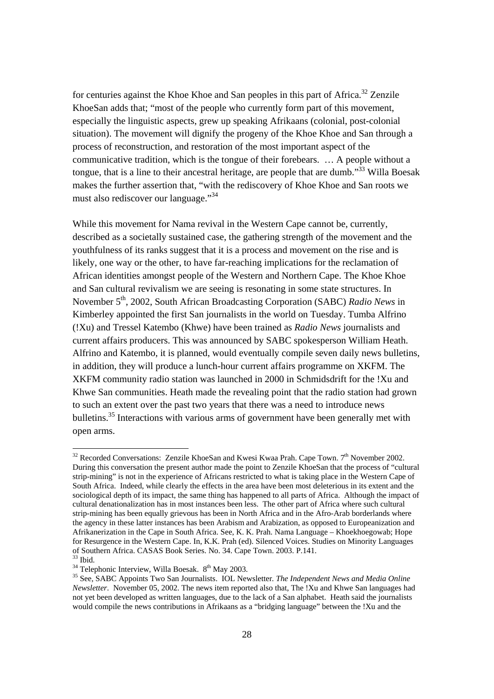for centuries against the Khoe Khoe and San peoples in this part of Africa.<sup>32</sup> Zenzile KhoeSan adds that; "most of the people who currently form part of this movement, especially the linguistic aspects, grew up speaking Afrikaans (colonial, post-colonial situation). The movement will dignify the progeny of the Khoe Khoe and San through a process of reconstruction, and restoration of the most important aspect of the communicative tradition, which is the tongue of their forebears. … A people without a tongue, that is a line to their ancestral heritage, are people that are dumb."<sup>33</sup> Willa Boesak makes the further assertion that, "with the rediscovery of Khoe Khoe and San roots we must also rediscover our language."34

While this movement for Nama revival in the Western Cape cannot be, currently, described as a societally sustained case, the gathering strength of the movement and the youthfulness of its ranks suggest that it is a process and movement on the rise and is likely, one way or the other, to have far-reaching implications for the reclamation of African identities amongst people of the Western and Northern Cape. The Khoe Khoe and San cultural revivalism we are seeing is resonating in some state structures. In November 5<sup>th</sup>, 2002, South African Broadcasting Corporation (SABC) *Radio News* in Kimberley appointed the first San journalists in the world on Tuesday. Tumba Alfrino (!Xu) and Tressel Katembo (Khwe) have been trained as *Radio News* journalists and current affairs producers. This was announced by SABC spokesperson William Heath. Alfrino and Katembo, it is planned, would eventually compile seven daily news bulletins, in addition, they will produce a lunch-hour current affairs programme on XKFM. The XKFM community radio station was launched in 2000 in Schmidsdrift for the !Xu and Khwe San communities. Heath made the revealing point that the radio station had grown to such an extent over the past two years that there was a need to introduce news bulletins.<sup>35</sup> Interactions with various arms of government have been generally met with open arms.

l

 $32$  Recorded Conversations: Zenzile KhoeSan and Kwesi Kwaa Prah. Cape Town.  $7<sup>th</sup>$  November 2002. During this conversation the present author made the point to Zenzile KhoeSan that the process of "cultural strip-mining" is not in the experience of Africans restricted to what is taking place in the Western Cape of South Africa. Indeed, while clearly the effects in the area have been most deleterious in its extent and the sociological depth of its impact, the same thing has happened to all parts of Africa. Although the impact of cultural denationalization has in most instances been less. The other part of Africa where such cultural strip-mining has been equally grievous has been in North Africa and in the Afro-Arab borderlands where the agency in these latter instances has been Arabism and Arabization, as opposed to Europeanization and Afrikanerization in the Cape in South Africa. See, K. K. Prah. Nama Language – Khoekhoegowab; Hope for Resurgence in the Western Cape. In, K.K. Prah (ed). Silenced Voices. Studies on Minority Languages of Southern Africa. CASAS Book Series. No. 34. Cape Town. 2003. P.141.

<sup>&</sup>lt;sup>33</sup> Ibid.<br><sup>34</sup> Telephonic Interview, Willa Boesak.  $8^{th}$  May 2003.

<sup>&</sup>lt;sup>35</sup> See, SABC Appoints Two San Journalists. IOL Newsletter. The Independent News and Media Online *Newsletter*. November 05, 2002. The news item reported also that, The !Xu and Khwe San languages had not yet been developed as written languages, due to the lack of a San alphabet. Heath said the journalists would compile the news contributions in Afrikaans as a "bridging language" between the !Xu and the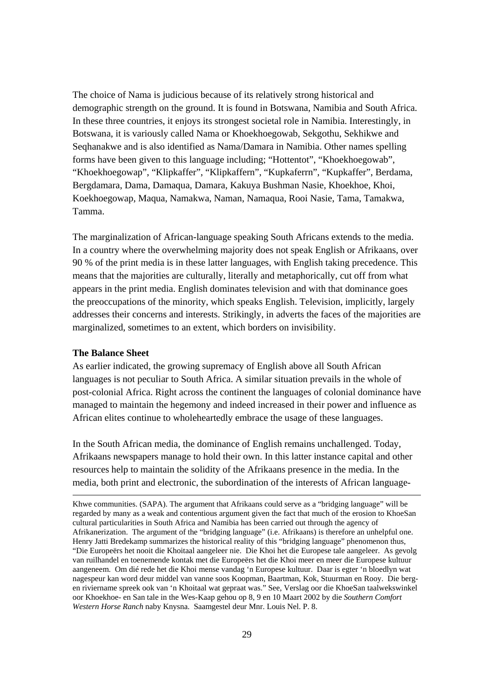The choice of Nama is judicious because of its relatively strong historical and demographic strength on the ground. It is found in Botswana, Namibia and South Africa. In these three countries, it enjoys its strongest societal role in Namibia. Interestingly, in Botswana, it is variously called Nama or Khoekhoegowab, Sekgothu, Sekhikwe and Seqhanakwe and is also identified as Nama/Damara in Namibia. Other names spelling forms have been given to this language including; "Hottentot", "Khoekhoegowab", "Khoekhoegowap", "Klipkaffer", "Klipkaffern", "Kupkaferrn", "Kupkaffer", Berdama, Bergdamara, Dama, Damaqua, Damara, Kakuya Bushman Nasie, Khoekhoe, Khoi, Koekhoegowap, Maqua, Namakwa, Naman, Namaqua, Rooi Nasie, Tama, Tamakwa, Tamma.

The marginalization of African-language speaking South Africans extends to the media. In a country where the overwhelming majority does not speak English or Afrikaans, over 90 % of the print media is in these latter languages, with English taking precedence. This means that the majorities are culturally, literally and metaphorically, cut off from what appears in the print media. English dominates television and with that dominance goes the preoccupations of the minority, which speaks English. Television, implicitly, largely addresses their concerns and interests. Strikingly, in adverts the faces of the majorities are marginalized, sometimes to an extent, which borders on invisibility.

## **The Balance Sheet**

As earlier indicated, the growing supremacy of English above all South African languages is not peculiar to South Africa. A similar situation prevails in the whole of post-colonial Africa. Right across the continent the languages of colonial dominance have managed to maintain the hegemony and indeed increased in their power and influence as African elites continue to wholeheartedly embrace the usage of these languages.

In the South African media, the dominance of English remains unchallenged. Today, Afrikaans newspapers manage to hold their own. In this latter instance capital and other resources help to maintain the solidity of the Afrikaans presence in the media. In the media, both print and electronic, the subordination of the interests of African language-

 Khwe communities. (SAPA). The argument that Afrikaans could serve as a "bridging language" will be regarded by many as a weak and contentious argument given the fact that much of the erosion to KhoeSan cultural particularities in South Africa and Namibia has been carried out through the agency of Afrikanerization. The argument of the "bridging language" (i.e. Afrikaans) is therefore an unhelpful one. Henry Jatti Bredekamp summarizes the historical reality of this "bridging language" phenomenon thus, "Die Europeërs het nooit die Khoitaal aangeleer nie. Die Khoi het die Europese tale aangeleer. As gevolg van ruilhandel en toenemende kontak met die Europeërs het die Khoi meer en meer die Europese kultuur aangeneem. Om dié rede het die Khoi mense vandag 'n Europese kultuur. Daar is egter 'n bloedlyn wat nagespeur kan word deur middel van vanne soos Koopman, Baartman, Kok, Stuurman en Rooy. Die bergen riviername spreek ook van 'n Khoitaal wat gepraat was." See, Verslag oor die KhoeSan taalwekswinkel oor Khoekhoe- en San tale in the Wes-Kaap gehou op 8, 9 en 10 Maart 2002 by die *Southern Comfort Western Horse Ranch* naby Knysna. Saamgestel deur Mnr. Louis Nel. P. 8.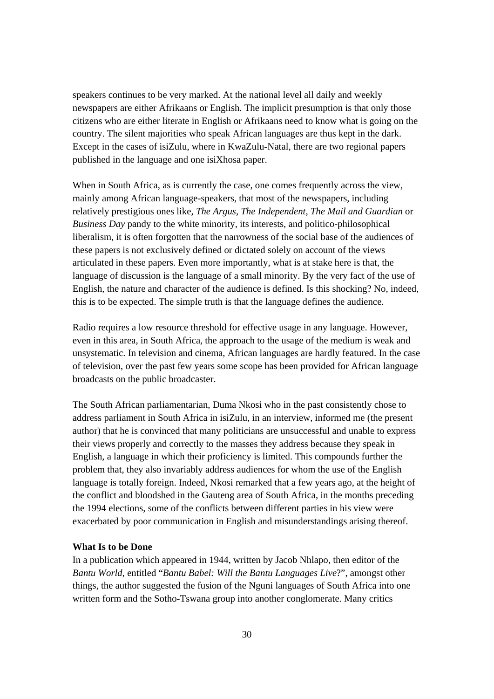speakers continues to be very marked. At the national level all daily and weekly newspapers are either Afrikaans or English. The implicit presumption is that only those citizens who are either literate in English or Afrikaans need to know what is going on the country. The silent majorities who speak African languages are thus kept in the dark. Except in the cases of isiZulu, where in KwaZulu-Natal, there are two regional papers published in the language and one isiXhosa paper.

When in South Africa, as is currently the case, one comes frequently across the view, mainly among African language-speakers, that most of the newspapers, including relatively prestigious ones like, *The Argus*, *The Independent*, *The Mail and Guardian* or *Business Day* pandy to the white minority, its interests, and politico-philosophical liberalism, it is often forgotten that the narrowness of the social base of the audiences of these papers is not exclusively defined or dictated solely on account of the views articulated in these papers. Even more importantly, what is at stake here is that, the language of discussion is the language of a small minority. By the very fact of the use of English, the nature and character of the audience is defined. Is this shocking? No, indeed, this is to be expected. The simple truth is that the language defines the audience.

Radio requires a low resource threshold for effective usage in any language. However, even in this area, in South Africa, the approach to the usage of the medium is weak and unsystematic. In television and cinema, African languages are hardly featured. In the case of television, over the past few years some scope has been provided for African language broadcasts on the public broadcaster.

The South African parliamentarian, Duma Nkosi who in the past consistently chose to address parliament in South Africa in isiZulu, in an interview, informed me (the present author) that he is convinced that many politicians are unsuccessful and unable to express their views properly and correctly to the masses they address because they speak in English, a language in which their proficiency is limited. This compounds further the problem that, they also invariably address audiences for whom the use of the English language is totally foreign. Indeed, Nkosi remarked that a few years ago, at the height of the conflict and bloodshed in the Gauteng area of South Africa, in the months preceding the 1994 elections, some of the conflicts between different parties in his view were exacerbated by poor communication in English and misunderstandings arising thereof.

### **What Is to be Done**

In a publication which appeared in 1944, written by Jacob Nhlapo, then editor of the *Bantu World*, entitled "*Bantu Babel: Will the Bantu Languages Live*?", amongst other things, the author suggested the fusion of the Nguni languages of South Africa into one written form and the Sotho-Tswana group into another conglomerate. Many critics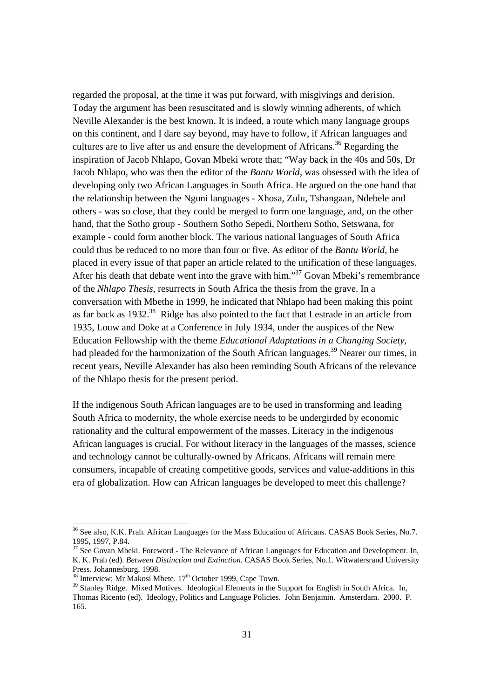regarded the proposal, at the time it was put forward, with misgivings and derision. Today the argument has been resuscitated and is slowly winning adherents, of which Neville Alexander is the best known. It is indeed, a route which many language groups on this continent, and I dare say beyond, may have to follow, if African languages and cultures are to live after us and ensure the development of Africans.<sup>36</sup> Regarding the inspiration of Jacob Nhlapo, Govan Mbeki wrote that; "Way back in the 40s and 50s, Dr Jacob Nhlapo, who was then the editor of the *Bantu World*, was obsessed with the idea of developing only two African Languages in South Africa. He argued on the one hand that the relationship between the Nguni languages - Xhosa, Zulu, Tshangaan, Ndebele and others - was so close, that they could be merged to form one language, and, on the other hand, that the Sotho group - Southern Sotho Sepedi, Northern Sotho, Setswana, for example - could form another block. The various national languages of South Africa could thus be reduced to no more than four or five. As editor of the *Bantu World*, he placed in every issue of that paper an article related to the unification of these languages. After his death that debate went into the grave with him."<sup>37</sup> Govan Mbeki's remembrance of the *Nhlapo Thesis*, resurrects in South Africa the thesis from the grave. In a conversation with Mbethe in 1999, he indicated that Nhlapo had been making this point as far back as 1932.<sup>38</sup> Ridge has also pointed to the fact that Lestrade in an article from 1935, Louw and Doke at a Conference in July 1934, under the auspices of the New Education Fellowship with the theme *Educational Adaptations in a Changing Society,* had pleaded for the harmonization of the South African languages.<sup>39</sup> Nearer our times, in recent years, Neville Alexander has also been reminding South Africans of the relevance of the Nhlapo thesis for the present period.

If the indigenous South African languages are to be used in transforming and leading South Africa to modernity, the whole exercise needs to be undergirded by economic rationality and the cultural empowerment of the masses. Literacy in the indigenous African languages is crucial. For without literacy in the languages of the masses, science and technology cannot be culturally-owned by Africans. Africans will remain mere consumers, incapable of creating competitive goods, services and value-additions in this era of globalization. How can African languages be developed to meet this challenge?

<sup>&</sup>lt;sup>36</sup> See also, K.K. Prah. African Languages for the Mass Education of Africans. CASAS Book Series, No.7. 1995, 1997, P.84.

<sup>&</sup>lt;sup>37</sup> See Govan Mbeki. Foreword - The Relevance of African Languages for Education and Development. In, K. K. Prah (ed). *Between Distinction and Extinction*. CASAS Book Series, No.1. Witwatersrand University Press. Johannesburg. 1998.<br><sup>38</sup> Interview; Mr Makosi Mbete. 17<sup>th</sup> October 1999, Cape Town.

<sup>&</sup>lt;sup>39</sup> Stanley Ridge. Mixed Motives. Ideological Elements in the Support for English in South Africa. In, Thomas Ricento (ed). Ideology, Politics and Language Policies. John Benjamin. Amsterdam. 2000. P. 165.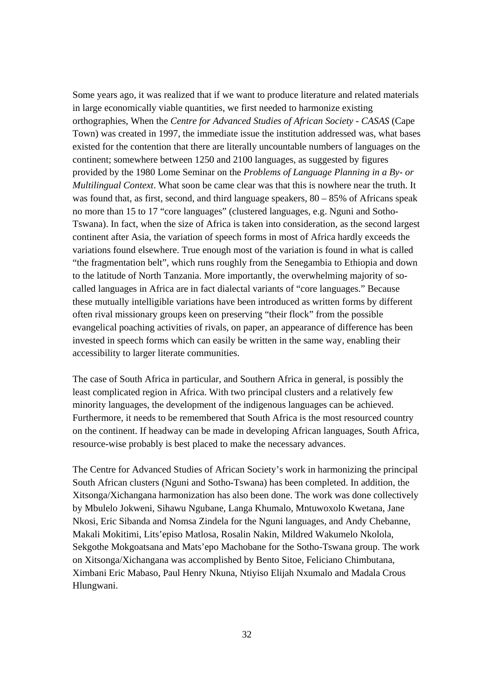Some years ago, it was realized that if we want to produce literature and related materials in large economically viable quantities, we first needed to harmonize existing orthographies, When the *Centre for Advanced Studies of African Society - CASAS* (Cape Town) was created in 1997, the immediate issue the institution addressed was, what bases existed for the contention that there are literally uncountable numbers of languages on the continent; somewhere between 1250 and 2100 languages, as suggested by figures provided by the 1980 Lome Seminar on the *Problems of Language Planning in a By- or Multilingual Context*. What soon be came clear was that this is nowhere near the truth. It was found that, as first, second, and third language speakers,  $80 - 85\%$  of Africans speak no more than 15 to 17 "core languages" (clustered languages, e.g. Nguni and Sotho-Tswana). In fact, when the size of Africa is taken into consideration, as the second largest continent after Asia, the variation of speech forms in most of Africa hardly exceeds the variations found elsewhere. True enough most of the variation is found in what is called "the fragmentation belt", which runs roughly from the Senegambia to Ethiopia and down to the latitude of North Tanzania. More importantly, the overwhelming majority of socalled languages in Africa are in fact dialectal variants of "core languages." Because these mutually intelligible variations have been introduced as written forms by different often rival missionary groups keen on preserving "their flock" from the possible evangelical poaching activities of rivals, on paper, an appearance of difference has been invested in speech forms which can easily be written in the same way, enabling their accessibility to larger literate communities.

The case of South Africa in particular, and Southern Africa in general, is possibly the least complicated region in Africa. With two principal clusters and a relatively few minority languages, the development of the indigenous languages can be achieved. Furthermore, it needs to be remembered that South Africa is the most resourced country on the continent. If headway can be made in developing African languages, South Africa, resource-wise probably is best placed to make the necessary advances.

The Centre for Advanced Studies of African Society's work in harmonizing the principal South African clusters (Nguni and Sotho-Tswana) has been completed. In addition, the Xitsonga/Xichangana harmonization has also been done. The work was done collectively by Mbulelo Jokweni, Sihawu Ngubane, Langa Khumalo, Mntuwoxolo Kwetana, Jane Nkosi, Eric Sibanda and Nomsa Zindela for the Nguni languages, and Andy Chebanne, Makali Mokitimi, Lits'episo Matlosa, Rosalin Nakin, Mildred Wakumelo Nkolola, Sekgothe Mokgoatsana and Mats'epo Machobane for the Sotho-Tswana group. The work on Xitsonga/Xichangana was accomplished by Bento Sitoe, Feliciano Chimbutana, Ximbani Eric Mabaso, Paul Henry Nkuna, Ntiyiso Elijah Nxumalo and Madala Crous Hlungwani.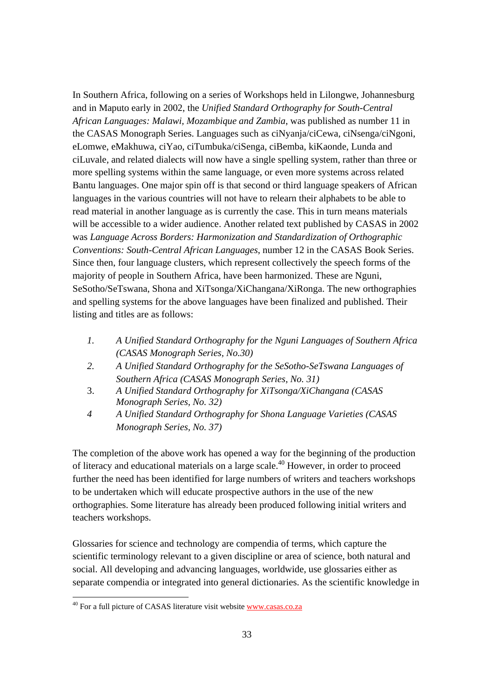In Southern Africa, following on a series of Workshops held in Lilongwe, Johannesburg and in Maputo early in 2002, the *Unified Standard Orthography for South-Central African Languages: Malawi, Mozambique and Zambia*, was published as number 11 in the CASAS Monograph Series. Languages such as ciNyanja/ciCewa, ciNsenga/ciNgoni, eLomwe, eMakhuwa, ciYao, ciTumbuka/ciSenga, ciBemba, kiKaonde, Lunda and ciLuvale, and related dialects will now have a single spelling system, rather than three or more spelling systems within the same language, or even more systems across related Bantu languages. One major spin off is that second or third language speakers of African languages in the various countries will not have to relearn their alphabets to be able to read material in another language as is currently the case. This in turn means materials will be accessible to a wider audience. Another related text published by CASAS in 2002 was *Language Across Borders: Harmonization and Standardization of Orthographic Conventions: South-Central African Languages*, number 12 in the CASAS Book Series. Since then, four language clusters, which represent collectively the speech forms of the majority of people in Southern Africa, have been harmonized. These are Nguni, SeSotho/SeTswana, Shona and XiTsonga/XiChangana/XiRonga. The new orthographies and spelling systems for the above languages have been finalized and published. Their listing and titles are as follows:

- *1. A Unified Standard Orthography for the Nguni Languages of Southern Africa (CASAS Monograph Series, No.30)*
- *2. A Unified Standard Orthography for the SeSotho-SeTswana Languages of Southern Africa (CASAS Monograph Series, No. 31)*
- 3. *A Unified Standard Orthography for XiTsonga/XiChangana (CASAS Monograph Series, No. 32)*
- *4 A Unified Standard Orthography for Shona Language Varieties (CASAS Monograph Series, No. 37)*

The completion of the above work has opened a way for the beginning of the production of literacy and educational materials on a large scale.<sup>40</sup> However, in order to proceed further the need has been identified for large numbers of writers and teachers workshops to be undertaken which will educate prospective authors in the use of the new orthographies. Some literature has already been produced following initial writers and teachers workshops.

Glossaries for science and technology are compendia of terms, which capture the scientific terminology relevant to a given discipline or area of science, both natural and social. All developing and advancing languages, worldwide, use glossaries either as separate compendia or integrated into general dictionaries. As the scientific knowledge in

<sup>&</sup>lt;sup>40</sup> For a full picture of CASAS literature visit website www.casas.co.za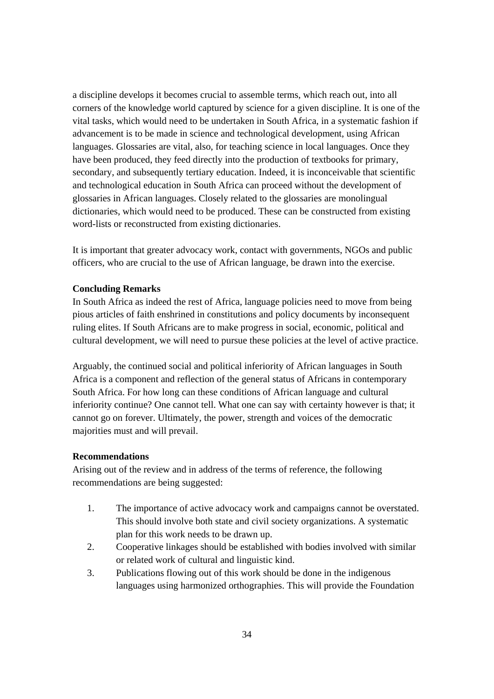a discipline develops it becomes crucial to assemble terms, which reach out, into all corners of the knowledge world captured by science for a given discipline. It is one of the vital tasks, which would need to be undertaken in South Africa, in a systematic fashion if advancement is to be made in science and technological development, using African languages. Glossaries are vital, also, for teaching science in local languages. Once they have been produced, they feed directly into the production of textbooks for primary, secondary, and subsequently tertiary education. Indeed, it is inconceivable that scientific and technological education in South Africa can proceed without the development of glossaries in African languages. Closely related to the glossaries are monolingual dictionaries, which would need to be produced. These can be constructed from existing word-lists or reconstructed from existing dictionaries.

It is important that greater advocacy work, contact with governments, NGOs and public officers, who are crucial to the use of African language, be drawn into the exercise.

# **Concluding Remarks**

In South Africa as indeed the rest of Africa, language policies need to move from being pious articles of faith enshrined in constitutions and policy documents by inconsequent ruling elites. If South Africans are to make progress in social, economic, political and cultural development, we will need to pursue these policies at the level of active practice.

Arguably, the continued social and political inferiority of African languages in South Africa is a component and reflection of the general status of Africans in contemporary South Africa. For how long can these conditions of African language and cultural inferiority continue? One cannot tell. What one can say with certainty however is that; it cannot go on forever. Ultimately, the power, strength and voices of the democratic majorities must and will prevail.

# **Recommendations**

Arising out of the review and in address of the terms of reference, the following recommendations are being suggested:

- 1. The importance of active advocacy work and campaigns cannot be overstated. This should involve both state and civil society organizations. A systematic plan for this work needs to be drawn up.
- 2. Cooperative linkages should be established with bodies involved with similar or related work of cultural and linguistic kind.
- 3. Publications flowing out of this work should be done in the indigenous languages using harmonized orthographies. This will provide the Foundation